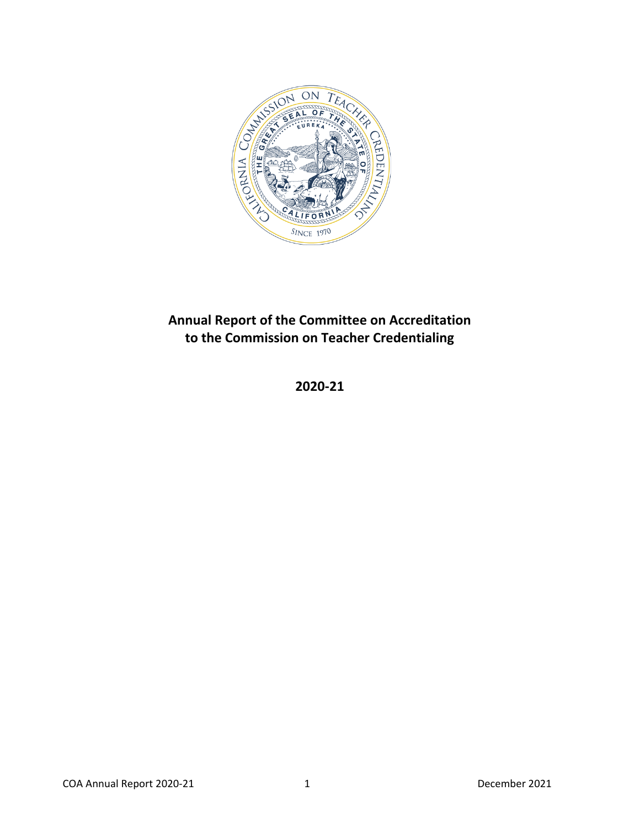

# <span id="page-0-0"></span>**Annual Report of the Committee on Accreditation to the Commission on Teacher Credentialing**

# **2020-21**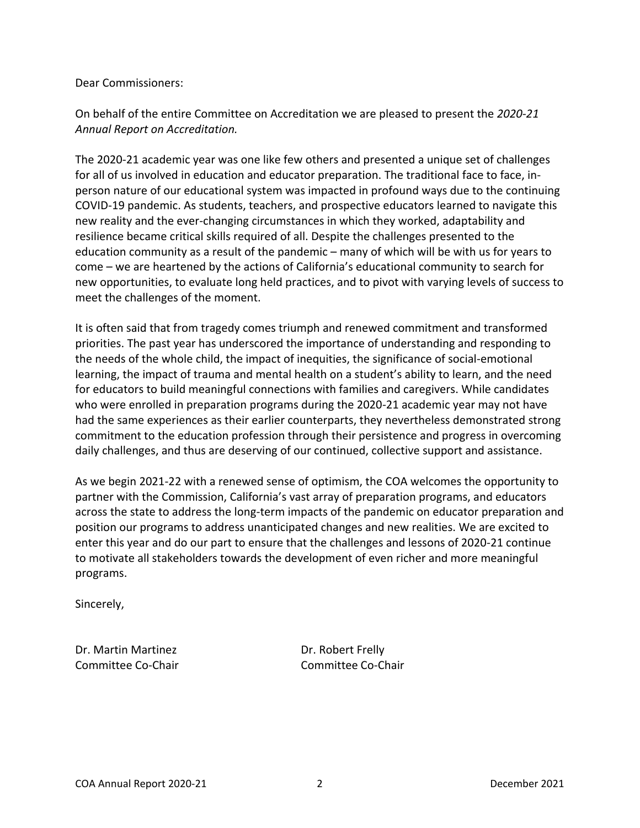#### Dear Commissioners:

On behalf of the entire Committee on Accreditation we are pleased to present the *2020-21 Annual Report on Accreditation.*

The 2020-21 academic year was one like few others and presented a unique set of challenges for all of us involved in education and educator preparation. The traditional face to face, inperson nature of our educational system was impacted in profound ways due to the continuing COVID-19 pandemic. As students, teachers, and prospective educators learned to navigate this new reality and the ever-changing circumstances in which they worked, adaptability and resilience became critical skills required of all. Despite the challenges presented to the education community as a result of the pandemic – many of which will be with us for years to come – we are heartened by the actions of California's educational community to search for new opportunities, to evaluate long held practices, and to pivot with varying levels of success to meet the challenges of the moment.

It is often said that from tragedy comes triumph and renewed commitment and transformed priorities. The past year has underscored the importance of understanding and responding to the needs of the whole child, the impact of inequities, the significance of social-emotional learning, the impact of trauma and mental health on a student's ability to learn, and the need for educators to build meaningful connections with families and caregivers. While candidates who were enrolled in preparation programs during the 2020-21 academic year may not have had the same experiences as their earlier counterparts, they nevertheless demonstrated strong commitment to the education profession through their persistence and progress in overcoming daily challenges, and thus are deserving of our continued, collective support and assistance.

As we begin 2021-22 with a renewed sense of optimism, the COA welcomes the opportunity to partner with the Commission, California's vast array of preparation programs, and educators across the state to address the long-term impacts of the pandemic on educator preparation and position our programs to address unanticipated changes and new realities. We are excited to enter this year and do our part to ensure that the challenges and lessons of 2020-21 continue to motivate all stakeholders towards the development of even richer and more meaningful programs.

Sincerely,

Dr. Martin Martinez **Dr. Robert Frelly** Committee Co-Chair **Committee Co-Chair** Committee Co-Chair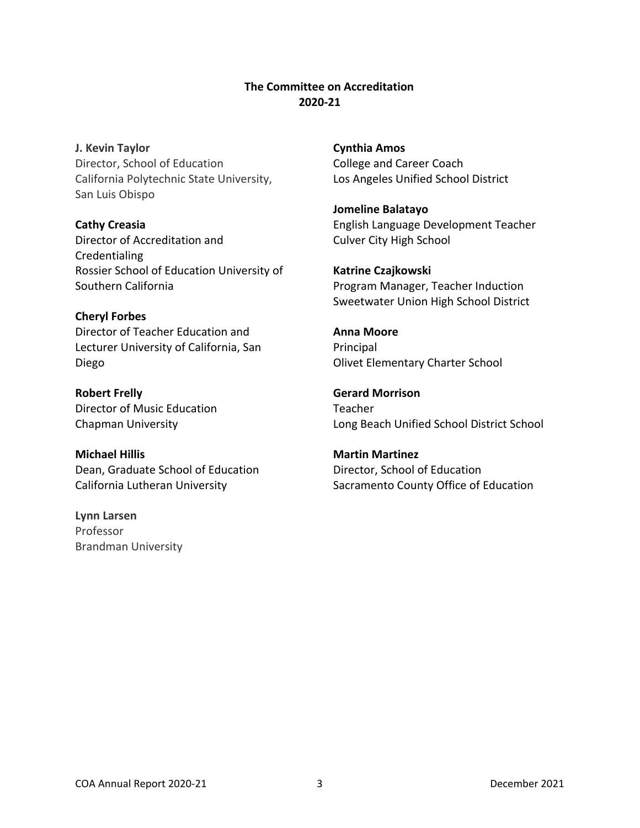## **The Committee on Accreditation 2020-21**

<span id="page-2-0"></span>**J. Kevin Taylor** Director, School of Education California Polytechnic State University, San Luis Obispo

**Cathy Creasia** Director of Accreditation and **Credentialing** Rossier School of Education University of Southern California

**Cheryl Forbes**

Director of Teacher Education and Lecturer University of California, San Diego

**Robert Frelly** Director of Music Education Chapman University

**Michael Hillis** Dean, Graduate School of Education California Lutheran University

**Lynn Larsen** Professor Brandman University **Cynthia Amos** College and Career Coach Los Angeles Unified School District

**Jomeline Balatayo** English Language Development Teacher Culver City High School

**Katrine Czajkowski** Program Manager, Teacher Induction Sweetwater Union High School District

**Anna Moore Principal** Olivet Elementary Charter School

**Gerard Morrison** Teacher Long Beach Unified School District School

**Martin Martinez** Director, School of Education Sacramento County Office of Education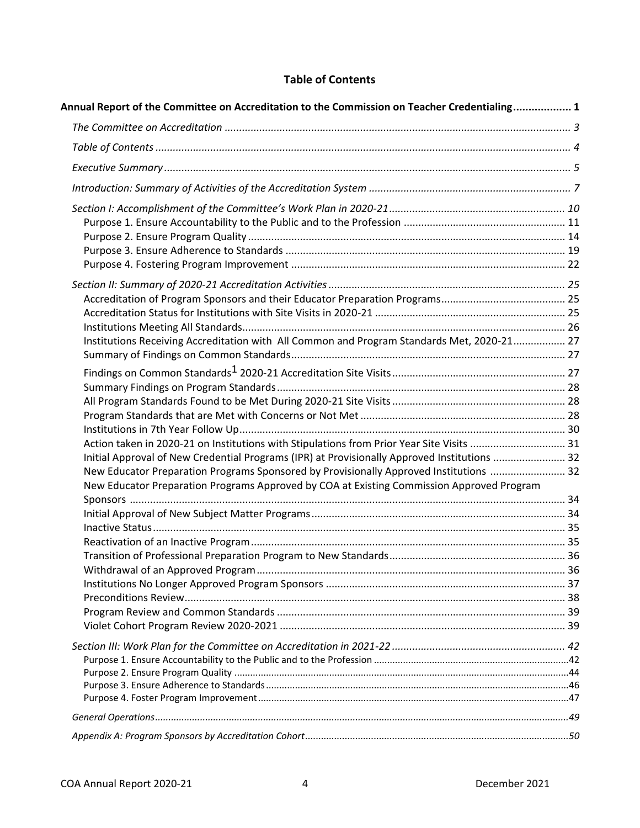## **Table of Contents**

<span id="page-3-0"></span>

| Annual Report of the Committee on Accreditation to the Commission on Teacher Credentialing 1 |  |
|----------------------------------------------------------------------------------------------|--|
|                                                                                              |  |
|                                                                                              |  |
|                                                                                              |  |
|                                                                                              |  |
|                                                                                              |  |
|                                                                                              |  |
|                                                                                              |  |
|                                                                                              |  |
|                                                                                              |  |
|                                                                                              |  |
|                                                                                              |  |
|                                                                                              |  |
|                                                                                              |  |
| Institutions Receiving Accreditation with All Common and Program Standards Met, 2020-21 27   |  |
|                                                                                              |  |
|                                                                                              |  |
|                                                                                              |  |
|                                                                                              |  |
|                                                                                              |  |
|                                                                                              |  |
| Action taken in 2020-21 on Institutions with Stipulations from Prior Year Site Visits  31    |  |
| Initial Approval of New Credential Programs (IPR) at Provisionally Approved Institutions  32 |  |
| New Educator Preparation Programs Sponsored by Provisionally Approved Institutions  32       |  |
| New Educator Preparation Programs Approved by COA at Existing Commission Approved Program    |  |
|                                                                                              |  |
|                                                                                              |  |
|                                                                                              |  |
|                                                                                              |  |
|                                                                                              |  |
|                                                                                              |  |
|                                                                                              |  |
|                                                                                              |  |
|                                                                                              |  |
|                                                                                              |  |
|                                                                                              |  |
|                                                                                              |  |
|                                                                                              |  |
|                                                                                              |  |
|                                                                                              |  |
|                                                                                              |  |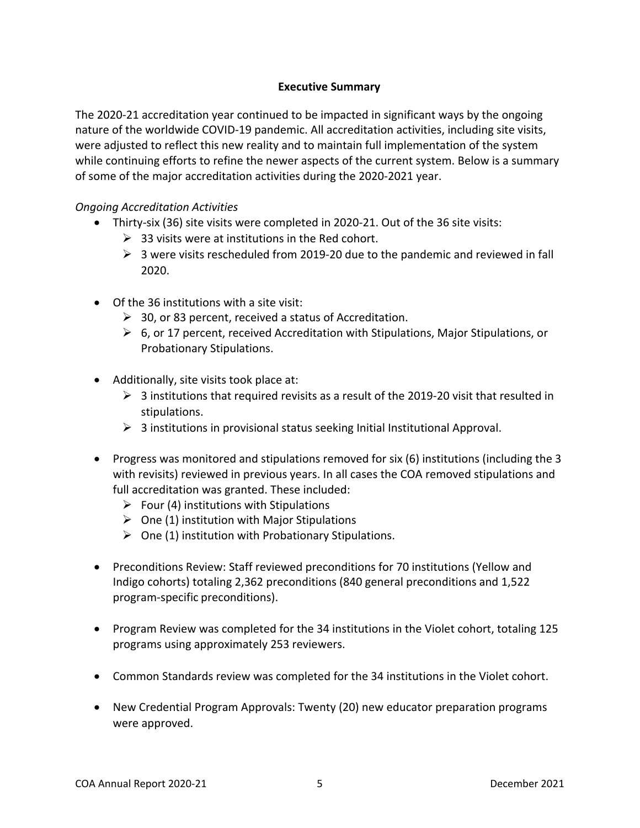## **Executive Summary**

<span id="page-4-0"></span>The 2020-21 accreditation year continued to be impacted in significant ways by the ongoing nature of the worldwide COVID-19 pandemic. All accreditation activities, including site visits, were adjusted to reflect this new reality and to maintain full implementation of the system while continuing efforts to refine the newer aspects of the current system. Below is a summary of some of the major accreditation activities during the 2020-2021 year.

### *Ongoing Accreditation Activities*

- Thirty-six (36) site visits were completed in 2020-21. Out of the 36 site visits:
	- $\geq$  33 visits were at institutions in the Red cohort.
	- $\triangleright$  3 were visits rescheduled from 2019-20 due to the pandemic and reviewed in fall 2020.
- Of the 36 institutions with a site visit:
	- ➢ 30, or 83 percent, received a status of Accreditation.
	- $\triangleright$  6, or 17 percent, received Accreditation with Stipulations, Major Stipulations, or Probationary Stipulations.
- Additionally, site visits took place at:
	- $\geq$  3 institutions that required revisits as a result of the 2019-20 visit that resulted in stipulations.
	- $\triangleright$  3 institutions in provisional status seeking Initial Institutional Approval.
- Progress was monitored and stipulations removed for six (6) institutions (including the 3 with revisits) reviewed in previous years. In all cases the COA removed stipulations and full accreditation was granted. These included:
	- $\triangleright$  Four (4) institutions with Stipulations
	- $\triangleright$  One (1) institution with Major Stipulations
	- $\triangleright$  One (1) institution with Probationary Stipulations.
- Preconditions Review: Staff reviewed preconditions for 70 institutions (Yellow and Indigo cohorts) totaling 2,362 preconditions (840 general preconditions and 1,522 program-specific preconditions).
- Program Review was completed for the 34 institutions in the Violet cohort, totaling 125 programs using approximately 253 reviewers.
- Common Standards review was completed for the 34 institutions in the Violet cohort.
- New Credential Program Approvals: Twenty (20) new educator preparation programs were approved.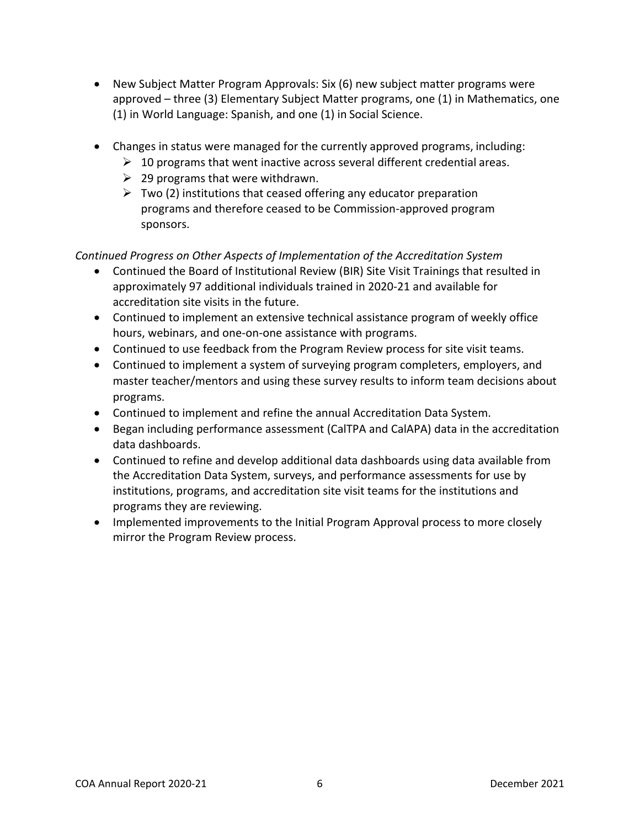- New Subject Matter Program Approvals: Six (6) new subject matter programs were approved – three (3) Elementary Subject Matter programs, one (1) in Mathematics, one (1) in World Language: Spanish, and one (1) in Social Science.
- Changes in status were managed for the currently approved programs, including:
	- $\triangleright$  10 programs that went inactive across several different credential areas.
	- $\geq$  29 programs that were withdrawn.
	- $\triangleright$  Two (2) institutions that ceased offering any educator preparation programs and therefore ceased to be Commission-approved program sponsors.

*Continued Progress on Other Aspects of Implementation of the Accreditation System*

- Continued the Board of Institutional Review (BIR) Site Visit Trainings that resulted in approximately 97 additional individuals trained in 2020-21 and available for accreditation site visits in the future.
- Continued to implement an extensive technical assistance program of weekly office hours, webinars, and one-on-one assistance with programs.
- Continued to use feedback from the Program Review process for site visit teams.
- Continued to implement a system of surveying program completers, employers, and master teacher/mentors and using these survey results to inform team decisions about programs.
- Continued to implement and refine the annual Accreditation Data System.
- Began including performance assessment (CalTPA and CalAPA) data in the accreditation data dashboards.
- Continued to refine and develop additional data dashboards using data available from the Accreditation Data System, surveys, and performance assessments for use by institutions, programs, and accreditation site visit teams for the institutions and programs they are reviewing.
- Implemented improvements to the Initial Program Approval process to more closely mirror the Program Review process.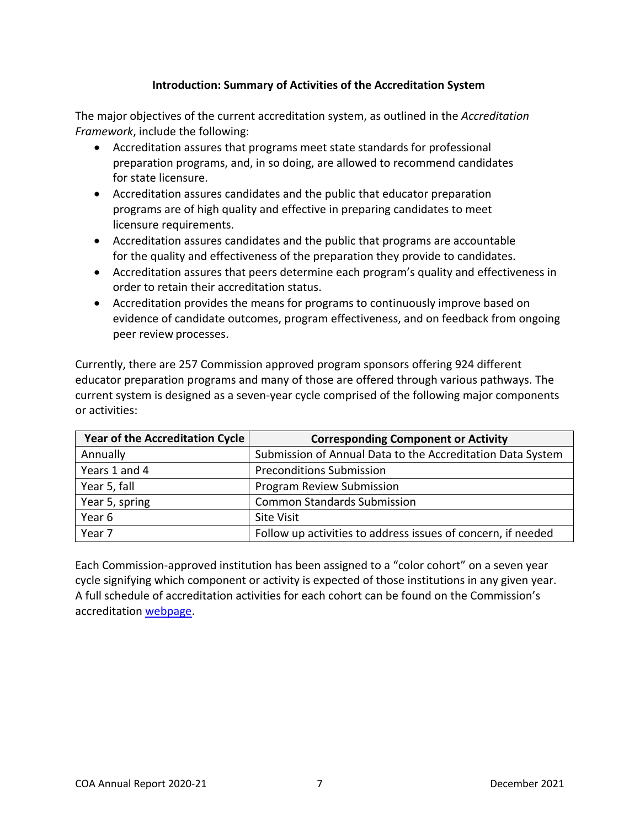## **Introduction: Summary of Activities of the Accreditation System**

<span id="page-6-0"></span>The major objectives of the current accreditation system, as outlined in the *Accreditation Framework*, include the following:

- Accreditation assures that programs meet state standards for professional preparation programs, and, in so doing, are allowed to recommend candidates for state licensure.
- Accreditation assures candidates and the public that educator preparation programs are of high quality and effective in preparing candidates to meet licensure requirements.
- Accreditation assures candidates and the public that programs are accountable for the quality and effectiveness of the preparation they provide to candidates.
- Accreditation assures that peers determine each program's quality and effectiveness in order to retain their accreditation status.
- Accreditation provides the means for programs to continuously improve based on evidence of candidate outcomes, program effectiveness, and on feedback from ongoing peer review processes.

Currently, there are 257 Commission approved program sponsors offering 924 different educator preparation programs and many of those are offered through various pathways. The current system is designed as a seven-year cycle comprised of the following major components or activities:

| <b>Year of the Accreditation Cycle</b> | <b>Corresponding Component or Activity</b>                   |
|----------------------------------------|--------------------------------------------------------------|
| Annually                               | Submission of Annual Data to the Accreditation Data System   |
| Years 1 and 4                          | <b>Preconditions Submission</b>                              |
| Year 5, fall                           | Program Review Submission                                    |
| Year 5, spring                         | <b>Common Standards Submission</b>                           |
| Year 6                                 | <b>Site Visit</b>                                            |
| Year 7                                 | Follow up activities to address issues of concern, if needed |

Each Commission-approved institution has been assigned to a "color cohort" on a seven year cycle signifying which component or activity is expected of those institutions in any given year. A full schedule of accreditation activities for each cohort can be found on the Commission's accreditation [webpage.](https://www.ctc.ca.gov/educator-prep/program-accred-sch-act)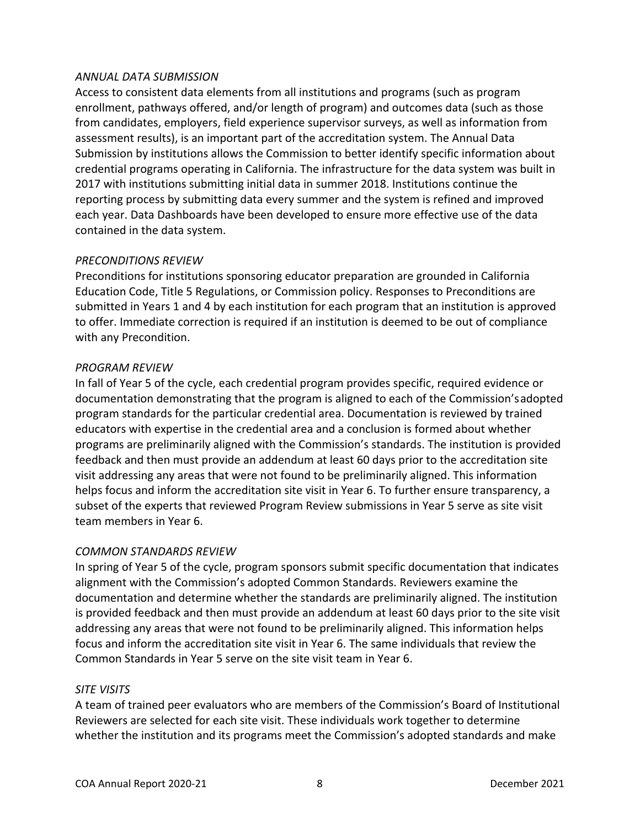#### *ANNUAL DATA SUBMISSION*

Access to consistent data elements from all institutions and programs (such as program enrollment, pathways offered, and/or length of program) and outcomes data (such as those from candidates, employers, field experience supervisor surveys, as well as information from assessment results), is an important part of the accreditation system. The Annual Data Submission by institutions allows the Commission to better identify specific information about credential programs operating in California. The infrastructure for the data system was built in 2017 with institutions submitting initial data in summer 2018. Institutions continue the reporting process by submitting data every summer and the system is refined and improved each year. Data Dashboards have been developed to ensure more effective use of the data contained in the data system.

#### *PRECONDITIONS REVIEW*

Preconditions for institutions sponsoring educator preparation are grounded in California Education Code, Title 5 Regulations, or Commission policy. Responses to Preconditions are submitted in Years 1 and 4 by each institution for each program that an institution is approved to offer. Immediate correction is required if an institution is deemed to be out of compliance with any Precondition.

#### *PROGRAM REVIEW*

In fall of Year 5 of the cycle, each credential program provides specific, required evidence or documentation demonstrating that the program is aligned to each of the Commission'sadopted program standards for the particular credential area. Documentation is reviewed by trained educators with expertise in the credential area and a conclusion is formed about whether programs are preliminarily aligned with the Commission's standards. The institution is provided feedback and then must provide an addendum at least 60 days prior to the accreditation site visit addressing any areas that were not found to be preliminarily aligned. This information helps focus and inform the accreditation site visit in Year 6. To further ensure transparency, a subset of the experts that reviewed Program Review submissions in Year 5 serve as site visit team members in Year 6.

#### *COMMON STANDARDS REVIEW*

In spring of Year 5 of the cycle, program sponsors submit specific documentation that indicates alignment with the Commission's adopted Common Standards. Reviewers examine the documentation and determine whether the standards are preliminarily aligned. The institution is provided feedback and then must provide an addendum at least 60 days prior to the site visit addressing any areas that were not found to be preliminarily aligned. This information helps focus and inform the accreditation site visit in Year 6. The same individuals that review the Common Standards in Year 5 serve on the site visit team in Year 6.

#### *SITE VISITS*

A team of trained peer evaluators who are members of the Commission's Board of Institutional Reviewers are selected for each site visit. These individuals work together to determine whether the institution and its programs meet the Commission's adopted standards and make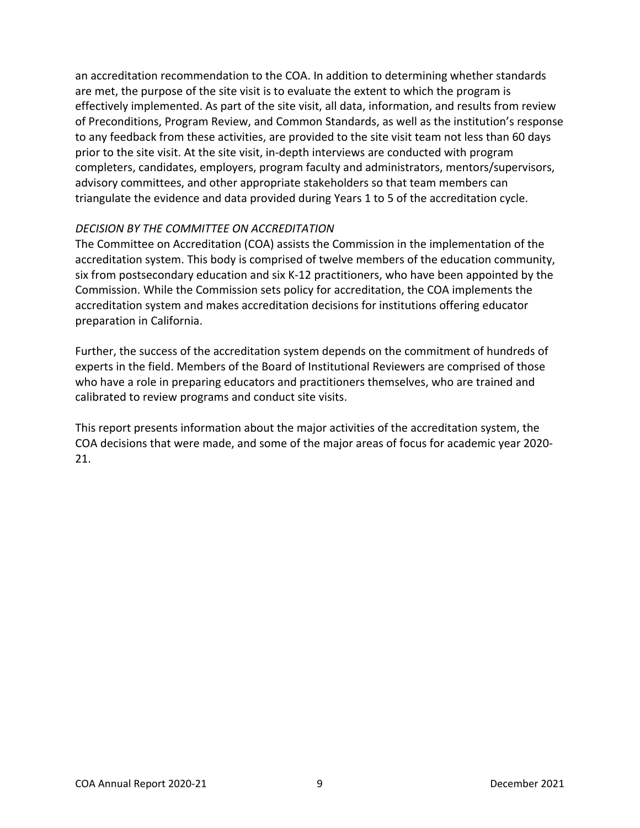an accreditation recommendation to the COA. In addition to determining whether standards are met, the purpose of the site visit is to evaluate the extent to which the program is effectively implemented. As part of the site visit, all data, information, and results from review of Preconditions, Program Review, and Common Standards, as well as the institution's response to any feedback from these activities, are provided to the site visit team not less than 60 days prior to the site visit. At the site visit, in-depth interviews are conducted with program completers, candidates, employers, program faculty and administrators, mentors/supervisors, advisory committees, and other appropriate stakeholders so that team members can triangulate the evidence and data provided during Years 1 to 5 of the accreditation cycle.

#### *DECISION BY THE COMMITTEE ON ACCREDITATION*

The Committee on Accreditation (COA) assists the Commission in the implementation of the accreditation system. This body is comprised of twelve members of the education community, six from postsecondary education and six K-12 practitioners, who have been appointed by the Commission. While the Commission sets policy for accreditation, the COA implements the accreditation system and makes accreditation decisions for institutions offering educator preparation in California.

Further, the success of the accreditation system depends on the commitment of hundreds of experts in the field. Members of the Board of Institutional Reviewers are comprised of those who have a role in preparing educators and practitioners themselves, who are trained and calibrated to review programs and conduct site visits.

This report presents information about the major activities of the accreditation system, the COA decisions that were made, and some of the major areas of focus for academic year 2020- 21.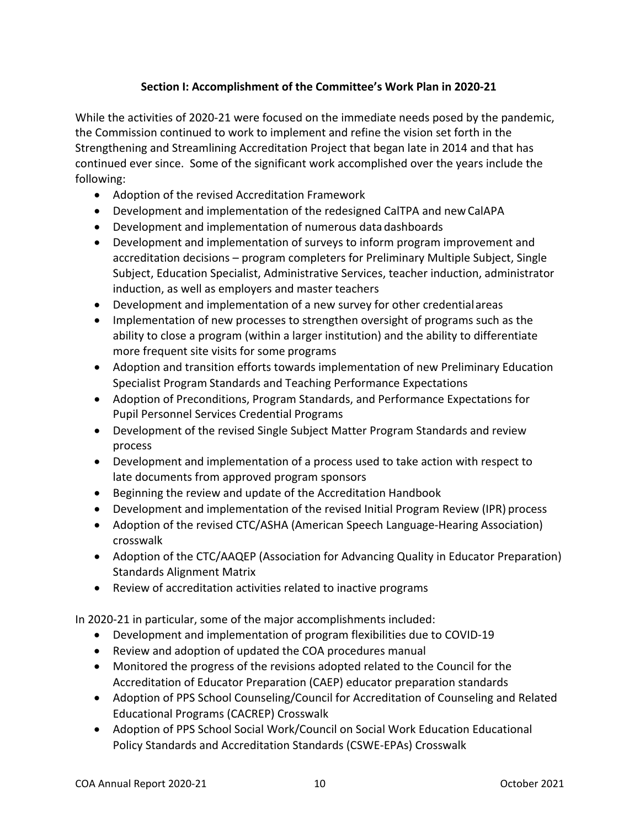## **Section I: Accomplishment of the Committee's Work Plan in 2020-21**

<span id="page-9-0"></span>While the activities of 2020-21 were focused on the immediate needs posed by the pandemic, the Commission continued to work to implement and refine the vision set forth in the Strengthening and Streamlining Accreditation Project that began late in 2014 and that has continued ever since. Some of the significant work accomplished over the years include the following:

- Adoption of the revised Accreditation Framework
- Development and implementation of the redesigned CalTPA and newCalAPA
- Development and implementation of numerous datadashboards
- Development and implementation of surveys to inform program improvement and accreditation decisions – program completers for Preliminary Multiple Subject, Single Subject, Education Specialist, Administrative Services, teacher induction, administrator induction, as well as employers and master teachers
- Development and implementation of a new survey for other credentialareas
- Implementation of new processes to strengthen oversight of programs such as the ability to close a program (within a larger institution) and the ability to differentiate more frequent site visits for some programs
- Adoption and transition efforts towards implementation of new Preliminary Education Specialist Program Standards and Teaching Performance Expectations
- Adoption of Preconditions, Program Standards, and Performance Expectations for Pupil Personnel Services Credential Programs
- Development of the revised Single Subject Matter Program Standards and review process
- Development and implementation of a process used to take action with respect to late documents from approved program sponsors
- Beginning the review and update of the Accreditation Handbook
- Development and implementation of the revised Initial Program Review (IPR) process
- Adoption of the revised CTC/ASHA (American Speech Language-Hearing Association) crosswalk
- Adoption of the CTC/AAQEP (Association for Advancing Quality in Educator Preparation) Standards Alignment Matrix
- Review of accreditation activities related to inactive programs

In 2020-21 in particular, some of the major accomplishments included:

- Development and implementation of program flexibilities due to COVID-19
- Review and adoption of updated the COA procedures manual
- Monitored the progress of the revisions adopted related to the Council for the Accreditation of Educator Preparation (CAEP) educator preparation standards
- Adoption of PPS School Counseling/Council for Accreditation of Counseling and Related Educational Programs (CACREP) Crosswalk
- Adoption of PPS School Social Work/Council on Social Work Education Educational Policy Standards and Accreditation Standards (CSWE-EPAs) Crosswalk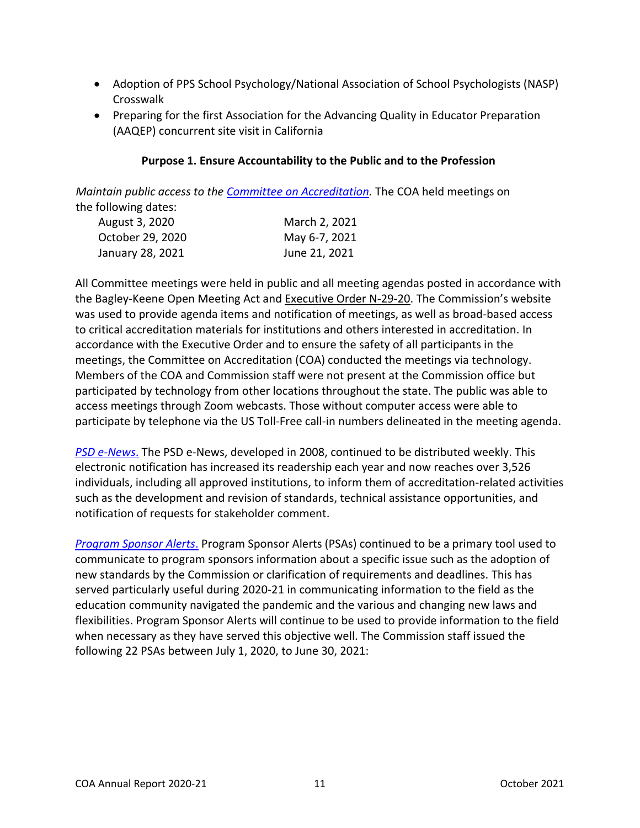- Adoption of PPS School Psychology/National Association of School Psychologists (NASP) **Crosswalk**
- <span id="page-10-0"></span>• Preparing for the first Association for the Advancing Quality in Educator Preparation (AAQEP) concurrent site visit in California

## **Purpose 1. Ensure Accountability to the Public and to the Profession**

*Maintain public access to the Committee on Accreditation*. The COA held meetings on the following dates:

| August 3, 2020   | March 2, 2021 |
|------------------|---------------|
| October 29, 2020 | May 6-7, 2021 |
| January 28, 2021 | June 21, 2021 |

All Committee meetings were held in public and all meeting agendas posted in accordance with the Bagley-Keene Open Meeting Act and [Executive Order N-29-20.](https://www.gov.ca.gov/wp-content/uploads/2020/03/3.17.20-N-29-20-EO.pdf) The Commission's website was used to provide agenda items and notification of meetings, as well as broad-based access to critical accreditation materials for institutions and others interested in accreditation. In accordance with the Executive Order and to ensure the safety of all participants in the meetings, the Committee on Accreditation (COA) conducted the meetings via technology. Members of the COA and Commission staff were not present at the Commission office but participated by technology from other locations throughout the state. The public was able to access meetings through Zoom webcasts. Those without computer access were able to participate by telephone via the US Toll-Free call-in numbers delineated in the meeting agenda.

*[PSD e-News](https://www.ctc.ca.gov/commission/newsletters/psd-news)*. The PSD e-News, developed in 2008, continued to be distributed weekly. This electronic notification has increased its readership each year and now reaches over 3,526 individuals, including all approved institutions, to inform them of accreditation-related activities such as the development and revision of standards, technical assistance opportunities, and notification of requests for stakeholder comment.

*[Program Sponsor Alerts](https://www.ctc.ca.gov/educator-prep/ps-alerts)*. Program Sponsor Alerts (PSAs) continued to be a primary tool used to communicate to program sponsors information about a specific issue such as the adoption of new standards by the Commission or clarification of requirements and deadlines. This has served particularly useful during 2020-21 in communicating information to the field as the education community navigated the pandemic and the various and changing new laws and flexibilities. Program Sponsor Alerts will continue to be used to provide information to the field when necessary as they have served this objective well. The Commission staff issued the following 22 PSAs between July 1, 2020, to June 30, 2021: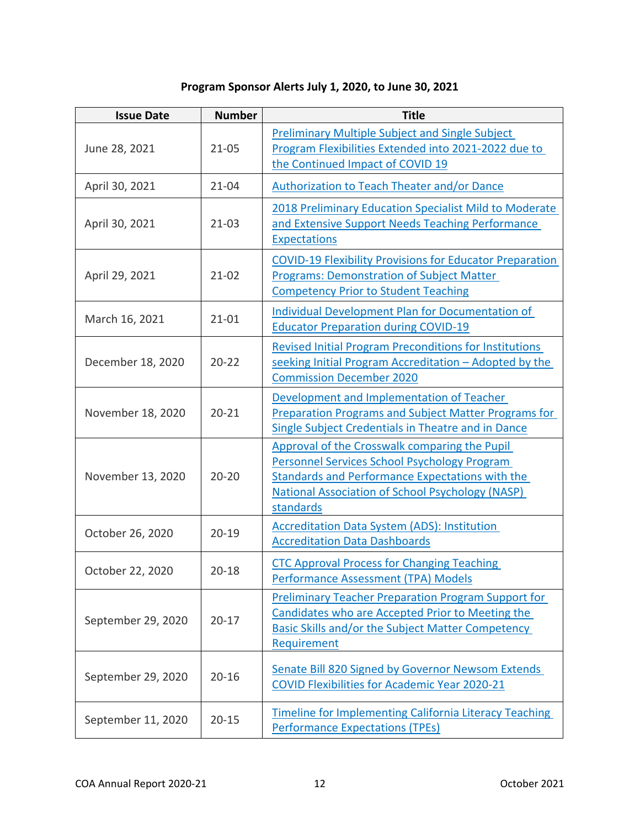## **Program Sponsor Alerts July 1, 2020, to June 30, 2021**

| <b>Issue Date</b>  | <b>Number</b> | <b>Title</b>                                                                                                                                                                                                             |
|--------------------|---------------|--------------------------------------------------------------------------------------------------------------------------------------------------------------------------------------------------------------------------|
| June 28, 2021      | $21 - 05$     | <b>Preliminary Multiple Subject and Single Subject</b><br>Program Flexibilities Extended into 2021-2022 due to<br>the Continued Impact of COVID 19                                                                       |
| April 30, 2021     | $21 - 04$     | <b>Authorization to Teach Theater and/or Dance</b>                                                                                                                                                                       |
| April 30, 2021     | $21-03$       | 2018 Preliminary Education Specialist Mild to Moderate<br>and Extensive Support Needs Teaching Performance<br><b>Expectations</b>                                                                                        |
| April 29, 2021     | $21 - 02$     | <b>COVID-19 Flexibility Provisions for Educator Preparation</b><br><b>Programs: Demonstration of Subject Matter</b><br><b>Competency Prior to Student Teaching</b>                                                       |
| March 16, 2021     | $21 - 01$     | Individual Development Plan for Documentation of<br><b>Educator Preparation during COVID-19</b>                                                                                                                          |
| December 18, 2020  | $20 - 22$     | <b>Revised Initial Program Preconditions for Institutions</b><br>seeking Initial Program Accreditation - Adopted by the<br><b>Commission December 2020</b>                                                               |
| November 18, 2020  | $20 - 21$     | Development and Implementation of Teacher<br><b>Preparation Programs and Subject Matter Programs for</b><br>Single Subject Credentials in Theatre and in Dance                                                           |
| November 13, 2020  | $20 - 20$     | Approval of the Crosswalk comparing the Pupil<br>Personnel Services School Psychology Program<br>Standards and Performance Expectations with the<br><b>National Association of School Psychology (NASP)</b><br>standards |
| October 26, 2020   | $20 - 19$     | <b>Accreditation Data System (ADS): Institution</b><br><b>Accreditation Data Dashboards</b>                                                                                                                              |
| October 22, 2020   | $20 - 18$     | <b>CTC Approval Process for Changing Teaching</b><br><b>Performance Assessment (TPA) Models</b>                                                                                                                          |
| September 29, 2020 | $20 - 17$     | <b>Preliminary Teacher Preparation Program Support for</b><br>Candidates who are Accepted Prior to Meeting the<br><b>Basic Skills and/or the Subject Matter Competency</b><br>Requirement                                |
| September 29, 2020 | $20 - 16$     | Senate Bill 820 Signed by Governor Newsom Extends<br><b>COVID Flexibilities for Academic Year 2020-21</b>                                                                                                                |
| September 11, 2020 | $20 - 15$     | <b>Timeline for Implementing California Literacy Teaching</b><br><b>Performance Expectations (TPEs)</b>                                                                                                                  |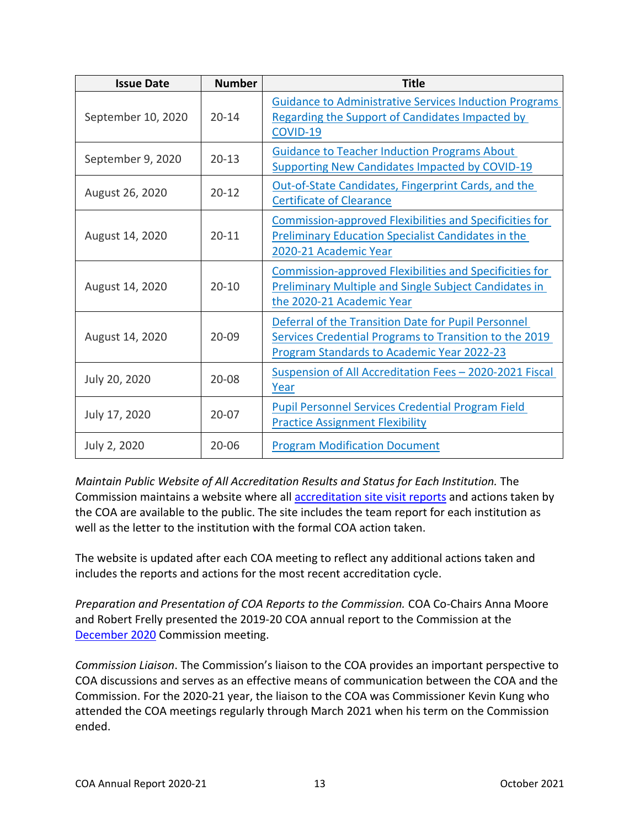| <b>Issue Date</b>  | <b>Number</b> | <b>Title</b>                                                                                                                                                              |
|--------------------|---------------|---------------------------------------------------------------------------------------------------------------------------------------------------------------------------|
| September 10, 2020 | $20 - 14$     | <b>Guidance to Administrative Services Induction Programs</b><br>Regarding the Support of Candidates Impacted by<br>COVID-19                                              |
| September 9, 2020  | $20 - 13$     | <b>Guidance to Teacher Induction Programs About</b><br><b>Supporting New Candidates Impacted by COVID-19</b>                                                              |
| August 26, 2020    | $20 - 12$     | Out-of-State Candidates, Fingerprint Cards, and the<br><b>Certificate of Clearance</b>                                                                                    |
| August 14, 2020    | $20 - 11$     | <b>Commission-approved Flexibilities and Specificities for</b><br><b>Preliminary Education Specialist Candidates in the</b><br>2020-21 Academic Year                      |
| August 14, 2020    | $20 - 10$     | Commission-approved Flexibilities and Specificities for<br><b>Preliminary Multiple and Single Subject Candidates in</b><br>the 2020-21 Academic Year                      |
| August 14, 2020    | $20 - 09$     | Deferral of the Transition Date for Pupil Personnel<br><b>Services Credential Programs to Transition to the 2019</b><br><b>Program Standards to Academic Year 2022-23</b> |
| July 20, 2020      | $20 - 08$     | Suspension of All Accreditation Fees - 2020-2021 Fiscal<br>Year                                                                                                           |
| July 17, 2020      | $20 - 07$     | <b>Pupil Personnel Services Credential Program Field</b><br><b>Practice Assignment Flexibility</b>                                                                        |
| July 2, 2020       | $20 - 06$     | <b>Program Modification Document</b>                                                                                                                                      |

*Maintain Public Website of All Accreditation Results and Status for Each Institution.* The Commission maintains a website where all [accreditation site visit reports](https://info.ctc.ca.gov/fmp/accreditation/accreditation_reports.php) and actions taken by the COA are available to the public. The site includes the team report for each institution as well as the letter to the institution with the formal COA action taken.

The website is updated after each COA meeting to reflect any additional actions taken and includes the reports and actions for the most recent accreditation cycle.

*Preparation and Presentation of COA Reports to the Commission.* COA Co-Chairs Anna Moore and Robert Frelly presented the 2019-20 COA annual report to the Commission at the [December 2020](https://www.ctc.ca.gov/docs/default-source/commission/agendas/2020-12/2020-12-2a.pdf?sfvrsn=d63028b1_2) Commission meeting.

*Commission Liaison*. The Commission's liaison to the COA provides an important perspective to COA discussions and serves as an effective means of communication between the COA and the Commission. For the 2020-21 year, the liaison to the COA was Commissioner Kevin Kung who attended the COA meetings regularly through March 2021 when his term on the Commission ended.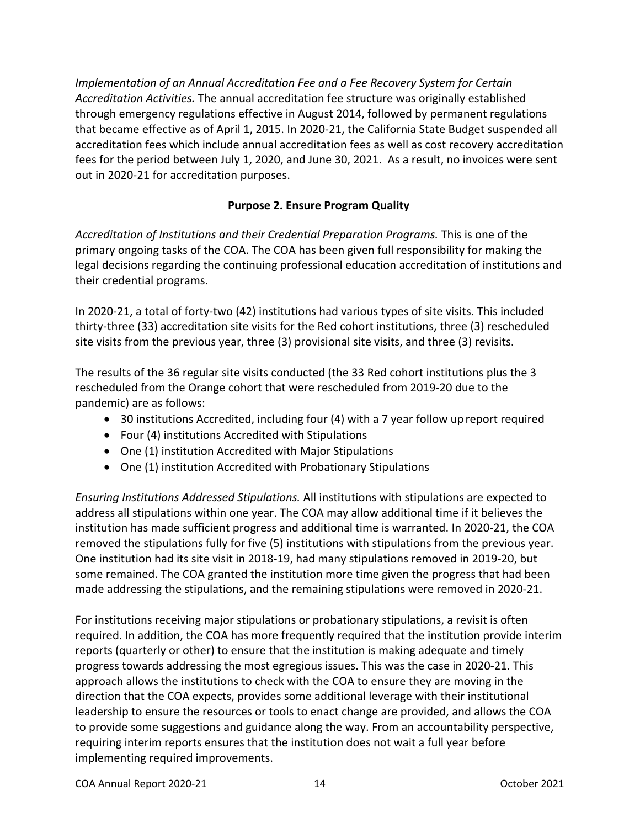*Implementation of an Annual Accreditation Fee and a Fee Recovery System for Certain Accreditation Activities.* The annual accreditation fee structure was originally established through emergency regulations effective in August 2014, followed by permanent regulations that became effective as of April 1, 2015. In 2020-21, the California State Budget suspended all accreditation fees which include annual accreditation fees as well as cost recovery accreditation fees for the period between July 1, 2020, and June 30, 2021. As a result, no invoices were sent out in 2020-21 for accreditation purposes.

## **Purpose 2. Ensure Program Quality**

<span id="page-13-0"></span>*Accreditation of Institutions and their Credential Preparation Programs.* This is one of the primary ongoing tasks of the COA. The COA has been given full responsibility for making the legal decisions regarding the continuing professional education accreditation of institutions and their credential programs.

In 2020-21, a total of forty-two (42) institutions had various types of site visits. This included thirty-three (33) accreditation site visits for the Red cohort institutions, three (3) rescheduled site visits from the previous year, three (3) provisional site visits, and three (3) revisits.

The results of the 36 regular site visits conducted (the 33 Red cohort institutions plus the 3 rescheduled from the Orange cohort that were rescheduled from 2019-20 due to the pandemic) are as follows:

- 30 institutions Accredited, including four (4) with a 7 year follow up report required
- Four (4) institutions Accredited with Stipulations
- One (1) institution Accredited with Major Stipulations
- One (1) institution Accredited with Probationary Stipulations

*Ensuring Institutions Addressed Stipulations.* All institutions with stipulations are expected to address all stipulations within one year. The COA may allow additional time if it believes the institution has made sufficient progress and additional time is warranted. In 2020-21, the COA removed the stipulations fully for five (5) institutions with stipulations from the previous year. One institution had its site visit in 2018-19, had many stipulations removed in 2019-20, but some remained. The COA granted the institution more time given the progress that had been made addressing the stipulations, and the remaining stipulations were removed in 2020-21.

For institutions receiving major stipulations or probationary stipulations, a revisit is often required. In addition, the COA has more frequently required that the institution provide interim reports (quarterly or other) to ensure that the institution is making adequate and timely progress towards addressing the most egregious issues. This was the case in 2020-21. This approach allows the institutions to check with the COA to ensure they are moving in the direction that the COA expects, provides some additional leverage with their institutional leadership to ensure the resources or tools to enact change are provided, and allows the COA to provide some suggestions and guidance along the way. From an accountability perspective, requiring interim reports ensures that the institution does not wait a full year before implementing required improvements.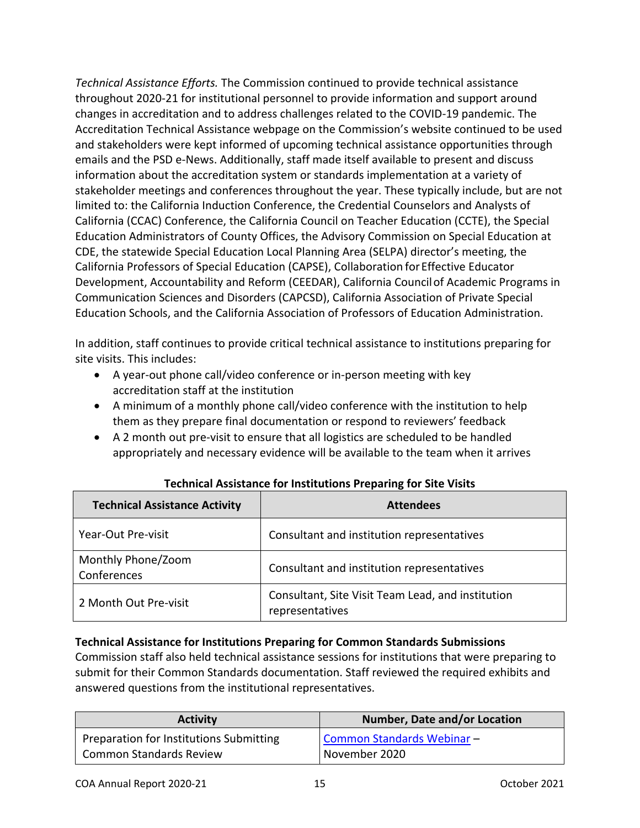*Technical Assistance Efforts.* The Commission continued to provide technical assistance throughout 2020-21 for institutional personnel to provide information and support around changes in accreditation and to address challenges related to the COVID-19 pandemic. The Accreditation Technical Assistance webpage on the Commission's website continued to be used and stakeholders were kept informed of upcoming technical assistance opportunities through emails and the PSD e-News. Additionally, staff made itself available to present and discuss information about the accreditation system or standards implementation at a variety of stakeholder meetings and conferences throughout the year. These typically include, but are not limited to: the California Induction Conference, the Credential Counselors and Analysts of California (CCAC) Conference, the California Council on Teacher Education (CCTE), the Special Education Administrators of County Offices, the Advisory Commission on Special Education at CDE, the statewide Special Education Local Planning Area (SELPA) director's meeting, the California Professors of Special Education (CAPSE), Collaboration forEffective Educator Development, Accountability and Reform (CEEDAR), California Councilof Academic Programs in Communication Sciences and Disorders (CAPCSD), California Association of Private Special Education Schools, and the California Association of Professors of Education Administration.

In addition, staff continues to provide critical technical assistance to institutions preparing for site visits. This includes:

- A year-out phone call/video conference or in-person meeting with key accreditation staff at the institution
- A minimum of a monthly phone call/video conference with the institution to help them as they prepare final documentation or respond to reviewers' feedback
- A 2 month out pre-visit to ensure that all logistics are scheduled to be handled appropriately and necessary evidence will be available to the team when it arrives

| <b>Technical Assistance Activity</b> | <b>Attendees</b>                                                     |
|--------------------------------------|----------------------------------------------------------------------|
| Year-Out Pre-visit                   | Consultant and institution representatives                           |
| Monthly Phone/Zoom<br>Conferences    | Consultant and institution representatives                           |
| 2 Month Out Pre-visit                | Consultant, Site Visit Team Lead, and institution<br>representatives |

## **Technical Assistance for Institutions Preparing for Site Visits**

#### **Technical Assistance for Institutions Preparing for Common Standards Submissions**

Commission staff also held technical assistance sessions for institutions that were preparing to submit for their Common Standards documentation. Staff reviewed the required exhibits and answered questions from the institutional representatives.

| <b>Activity</b>                         | <b>Number, Date and/or Location</b> |
|-----------------------------------------|-------------------------------------|
| Preparation for Institutions Submitting | Common Standards Webinar-           |
| <b>Common Standards Review</b>          | November 2020                       |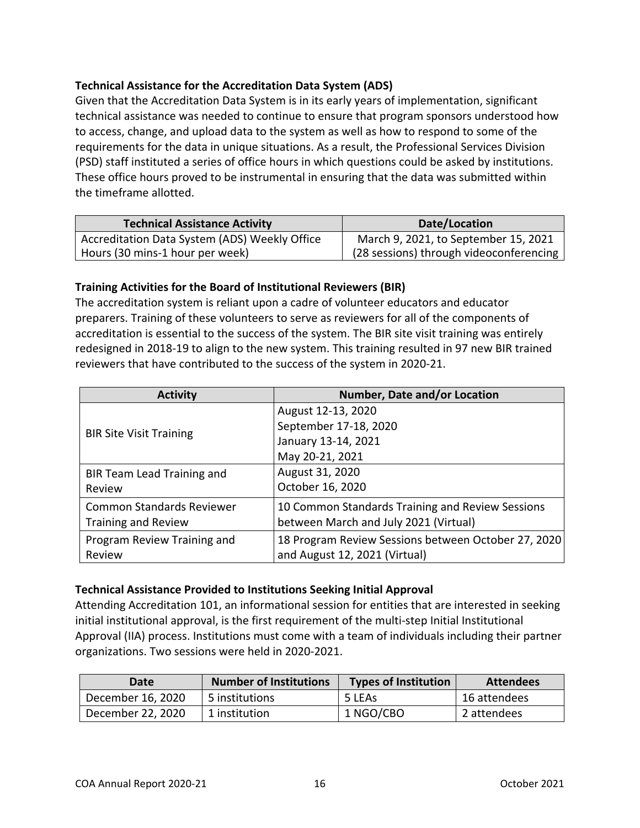## **Technical Assistance for the Accreditation Data System (ADS)**

Given that the Accreditation Data System is in its early years of implementation, significant technical assistance was needed to continue to ensure that program sponsors understood how to access, change, and upload data to the system as well as how to respond to some of the requirements for the data in unique situations. As a result, the Professional Services Division (PSD) staff instituted a series of office hours in which questions could be asked by institutions. These office hours proved to be instrumental in ensuring that the data was submitted within the timeframe allotted.

| <b>Technical Assistance Activity</b>          | Date/Location                           |
|-----------------------------------------------|-----------------------------------------|
| Accreditation Data System (ADS) Weekly Office | March 9, 2021, to September 15, 2021    |
| Hours (30 mins-1 hour per week)               | (28 sessions) through videoconferencing |

## **Training Activities for the Board of Institutional Reviewers (BIR)**

The accreditation system is reliant upon a cadre of volunteer educators and educator preparers. Training of these volunteers to serve as reviewers for all of the components of accreditation is essential to the success of the system. The BIR site visit training was entirely redesigned in 2018-19 to align to the new system. This training resulted in 97 new BIR trained reviewers that have contributed to the success of the system in 2020-21.

| <b>Activity</b>                  | Number, Date and/or Location                        |
|----------------------------------|-----------------------------------------------------|
|                                  | August 12-13, 2020                                  |
| <b>BIR Site Visit Training</b>   | September 17-18, 2020                               |
|                                  | January 13-14, 2021                                 |
|                                  | May 20-21, 2021                                     |
| BIR Team Lead Training and       | August 31, 2020                                     |
| Review                           | October 16, 2020                                    |
| <b>Common Standards Reviewer</b> | 10 Common Standards Training and Review Sessions    |
| <b>Training and Review</b>       | between March and July 2021 (Virtual)               |
| Program Review Training and      | 18 Program Review Sessions between October 27, 2020 |
| Review                           | and August 12, 2021 (Virtual)                       |

## **Technical Assistance Provided to Institutions Seeking Initial Approval**

Attending Accreditation 101, an informational session for entities that are interested in seeking initial institutional approval, is the first requirement of the multi-step Initial Institutional Approval (IIA) process. Institutions must come with a team of individuals including their partner organizations. Two sessions were held in 2020-2021.

| Date              | <b>Number of Institutions</b> | <b>Types of Institution</b> | <b>Attendees</b> |
|-------------------|-------------------------------|-----------------------------|------------------|
| December 16, 2020 | 5 institutions                | 5 LEAS                      | 16 attendees     |
| December 22, 2020 | 1 institution                 | 1 NGO/CBO                   | 2 attendees      |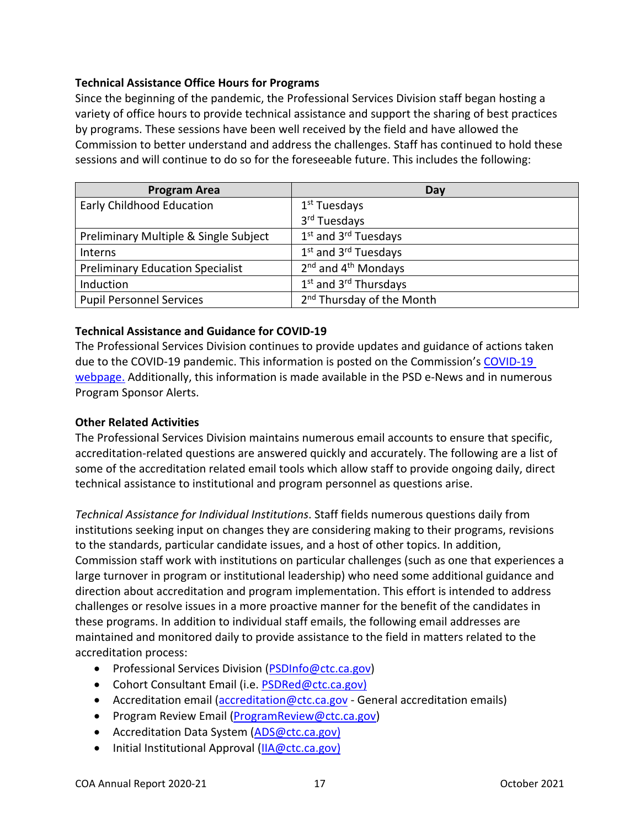### **Technical Assistance Office Hours for Programs**

Since the beginning of the pandemic, the Professional Services Division staff began hosting a variety of office hours to provide technical assistance and support the sharing of best practices by programs. These sessions have been well received by the field and have allowed the Commission to better understand and address the challenges. Staff has continued to hold these sessions and will continue to do so for the foreseeable future. This includes the following:

| <b>Program Area</b>                     | Day                                           |
|-----------------------------------------|-----------------------------------------------|
| <b>Early Childhood Education</b>        | 1 <sup>st</sup> Tuesdays                      |
|                                         | 3rd Tuesdays                                  |
| Preliminary Multiple & Single Subject   | 1 <sup>st</sup> and 3 <sup>rd</sup> Tuesdays  |
| Interns                                 | 1 <sup>st</sup> and 3 <sup>rd</sup> Tuesdays  |
| <b>Preliminary Education Specialist</b> | $2nd$ and $4th$ Mondays                       |
| Induction                               | 1 <sup>st</sup> and 3 <sup>rd</sup> Thursdays |
| <b>Pupil Personnel Services</b>         | 2 <sup>nd</sup> Thursday of the Month         |

### **Technical Assistance and Guidance for COVID-19**

The Professional Services Division continues to provide updates and guidance of actions taken due to the [COVID-19](https://www.ctc.ca.gov/commission/covid-19-commission-action-related-to-covid-19) pandemic. This information is posted on the Commission's COVID-19 [webpage.](https://www.ctc.ca.gov/commission/covid-19-commission-action-related-to-covid-19) Additionally, this information is made available in the PSD e-News and in numerous Program Sponsor Alerts.

#### **Other Related Activities**

The Professional Services Division maintains numerous email accounts to ensure that specific, accreditation-related questions are answered quickly and accurately. The following are a list of some of the accreditation related email tools which allow staff to provide ongoing daily, direct technical assistance to institutional and program personnel as questions arise.

*Technical Assistance for Individual Institutions*. Staff fields numerous questions daily from institutions seeking input on changes they are considering making to their programs, revisions to the standards, particular candidate issues, and a host of other topics. In addition, Commission staff work with institutions on particular challenges (such as one that experiences a large turnover in program or institutional leadership) who need some additional guidance and direction about accreditation and program implementation. This effort is intended to address challenges or resolve issues in a more proactive manner for the benefit of the candidates in these programs. In addition to individual staff emails, the following email addresses are maintained and monitored daily to provide assistance to the field in matters related to the accreditation process:

- Professional Services Division [\(PSDInfo@ctc.ca.gov\)](mailto:PSDInfo@ctc.ca.gov)
- Cohort Consultant Email (i.e. [PSDRed@ctc.ca.gov\)](mailto:PSDRed@ctc.ca.gov)
- Accreditation email [\(accreditation@ctc.ca.gov](mailto:accreditation@ctc.ca.gov) General accreditation emails)
- Program Review Email [\(ProgramReview@ctc.ca.gov\)](mailto:ProgramReview@ctc.ca.gov)
- Accreditation Data System [\(ADS@ctc.ca.gov\)](mailto:ADS@ctc.ca.gov)
- Initial Institutional Approval [\(IIA@ctc.ca.gov\)](mailto:IIA@ctc.ca.gov)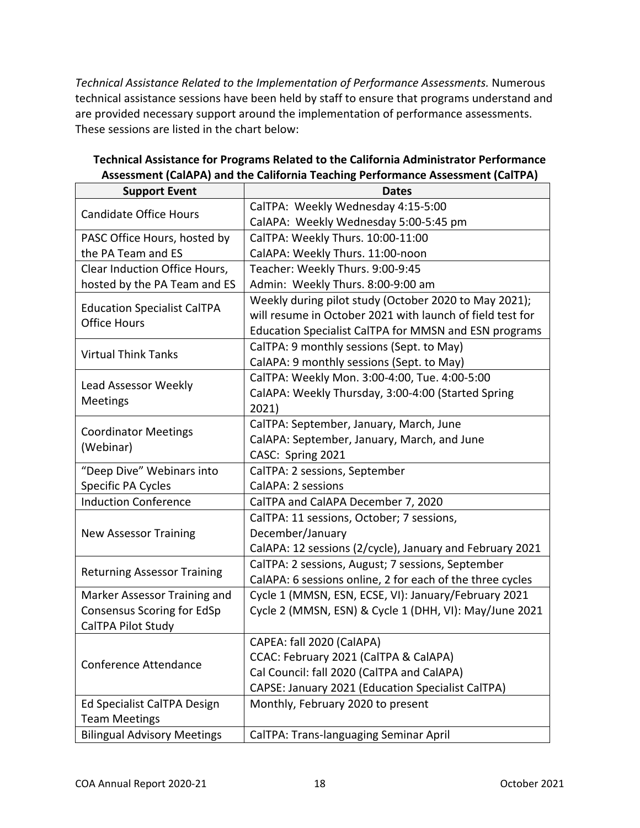*Technical Assistance Related to the Implementation of Performance Assessments.* Numerous technical assistance sessions have been held by staff to ensure that programs understand and are provided necessary support around the implementation of performance assessments. These sessions are listed in the chart below:

| <b>Support Event</b>                                      | <b>Dates</b>                                              |
|-----------------------------------------------------------|-----------------------------------------------------------|
| <b>Candidate Office Hours</b>                             | CalTPA: Weekly Wednesday 4:15-5:00                        |
|                                                           | CalAPA: Weekly Wednesday 5:00-5:45 pm                     |
| PASC Office Hours, hosted by                              | CalTPA: Weekly Thurs. 10:00-11:00                         |
| the PA Team and ES                                        | CalAPA: Weekly Thurs. 11:00-noon                          |
| Clear Induction Office Hours,                             | Teacher: Weekly Thurs. 9:00-9:45                          |
| hosted by the PA Team and ES                              | Admin: Weekly Thurs. 8:00-9:00 am                         |
|                                                           | Weekly during pilot study (October 2020 to May 2021);     |
| <b>Education Specialist CalTPA</b><br><b>Office Hours</b> | will resume in October 2021 with launch of field test for |
|                                                           | Education Specialist CalTPA for MMSN and ESN programs     |
| <b>Virtual Think Tanks</b>                                | CalTPA: 9 monthly sessions (Sept. to May)                 |
|                                                           | CalAPA: 9 monthly sessions (Sept. to May)                 |
| Lead Assessor Weekly                                      | CalTPA: Weekly Mon. 3:00-4:00, Tue. 4:00-5:00             |
|                                                           | CalAPA: Weekly Thursday, 3:00-4:00 (Started Spring        |
| Meetings                                                  | 2021)                                                     |
| <b>Coordinator Meetings</b>                               | CalTPA: September, January, March, June                   |
| (Webinar)                                                 | CalAPA: September, January, March, and June               |
|                                                           | CASC: Spring 2021                                         |
| "Deep Dive" Webinars into                                 | CalTPA: 2 sessions, September                             |
| Specific PA Cycles                                        | CalAPA: 2 sessions                                        |
| <b>Induction Conference</b>                               | CalTPA and CalAPA December 7, 2020                        |
|                                                           | CalTPA: 11 sessions, October; 7 sessions,                 |
| <b>New Assessor Training</b>                              | December/January                                          |
|                                                           | CalAPA: 12 sessions (2/cycle), January and February 2021  |
| <b>Returning Assessor Training</b>                        | CalTPA: 2 sessions, August; 7 sessions, September         |
|                                                           | CalAPA: 6 sessions online, 2 for each of the three cycles |
| Marker Assessor Training and                              | Cycle 1 (MMSN, ESN, ECSE, VI): January/February 2021      |
| <b>Consensus Scoring for EdSp</b>                         | Cycle 2 (MMSN, ESN) & Cycle 1 (DHH, VI): May/June 2021    |
| CalTPA Pilot Study                                        |                                                           |
| Conference Attendance                                     | CAPEA: fall 2020 (CalAPA)                                 |
|                                                           | CCAC: February 2021 (CalTPA & CalAPA)                     |
|                                                           | Cal Council: fall 2020 (CalTPA and CalAPA)                |
|                                                           | CAPSE: January 2021 (Education Specialist CalTPA)         |
| Ed Specialist CalTPA Design                               | Monthly, February 2020 to present                         |
| <b>Team Meetings</b>                                      |                                                           |
| <b>Bilingual Advisory Meetings</b>                        | CalTPA: Trans-languaging Seminar April                    |

## **Technical Assistance for Programs Related to the California Administrator Performance Assessment (CalAPA) and the California Teaching Performance Assessment (CalTPA)**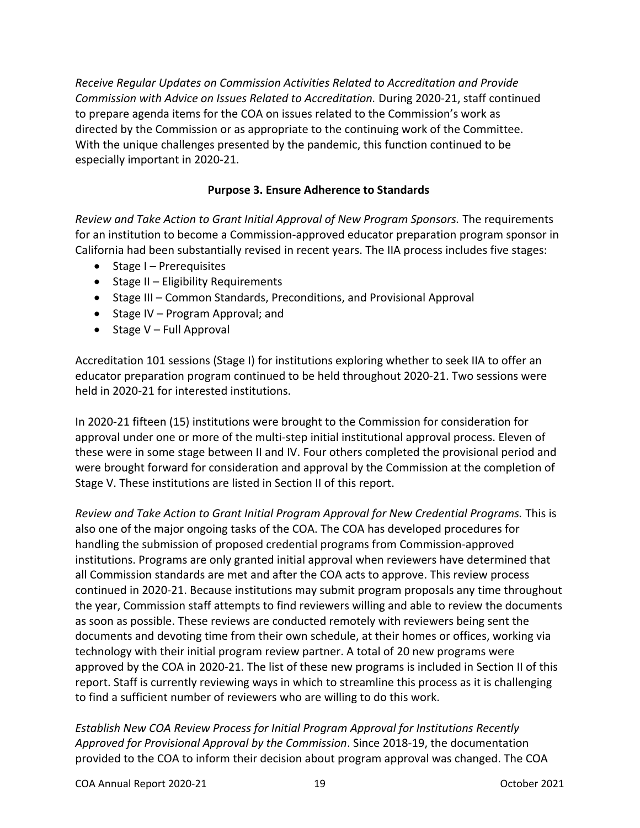*Receive Regular Updates on Commission Activities Related to Accreditation and Provide Commission with Advice on Issues Related to Accreditation.* During 2020-21, staff continued to prepare agenda items for the COA on issues related to the Commission's work as directed by the Commission or as appropriate to the continuing work of the Committee. With the unique challenges presented by the pandemic, this function continued to be especially important in 2020-21.

## **Purpose 3. Ensure Adherence to Standards**

<span id="page-18-0"></span>*Review and Take Action to Grant Initial Approval of New Program Sponsors.* The requirements for an institution to become a Commission-approved educator preparation program sponsor in California had been substantially revised in recent years. The IIA process includes five stages:

- Stage I Prerequisites
- Stage II Eligibility Requirements
- Stage III Common Standards, Preconditions, and Provisional Approval
- Stage IV Program Approval; and
- Stage V Full Approval

Accreditation 101 sessions (Stage I) for institutions exploring whether to seek IIA to offer an educator preparation program continued to be held throughout 2020-21. Two sessions were held in 2020-21 for interested institutions.

In 2020-21 fifteen (15) institutions were brought to the Commission for consideration for approval under one or more of the multi-step initial institutional approval process. Eleven of these were in some stage between II and IV. Four others completed the provisional period and were brought forward for consideration and approval by the Commission at the completion of Stage V. These institutions are listed in Section II of this report.

*Review and Take Action to Grant Initial Program Approval for New Credential Programs.* This is also one of the major ongoing tasks of the COA. The COA has developed procedures for handling the submission of proposed credential programs from Commission-approved institutions. Programs are only granted initial approval when reviewers have determined that all Commission standards are met and after the COA acts to approve. This review process continued in 2020-21. Because institutions may submit program proposals any time throughout the year, Commission staff attempts to find reviewers willing and able to review the documents as soon as possible. These reviews are conducted remotely with reviewers being sent the documents and devoting time from their own schedule, at their homes or offices, working via technology with their initial program review partner. A total of 20 new programs were approved by the COA in 2020-21. The list of these new programs is included in Section II of this report. Staff is currently reviewing ways in which to streamline this process as it is challenging to find a sufficient number of reviewers who are willing to do this work.

*Establish New COA Review Process for Initial Program Approval for Institutions Recently Approved for Provisional Approval by the Commission*. Since 2018-19, the documentation provided to the COA to inform their decision about program approval was changed. The COA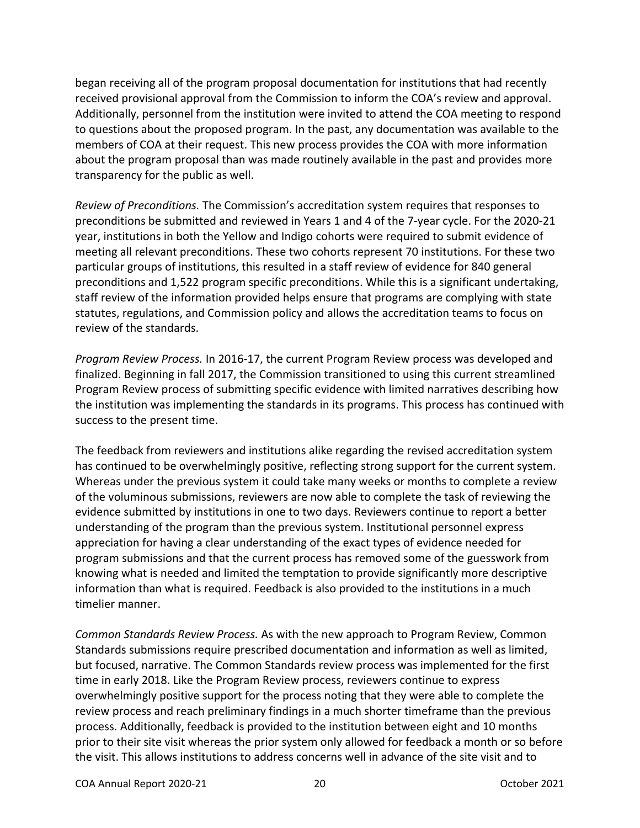began receiving all of the program proposal documentation for institutions that had recently received provisional approval from the Commission to inform the COA's review and approval. Additionally, personnel from the institution were invited to attend the COA meeting to respond to questions about the proposed program. In the past, any documentation was available to the members of COA at their request. This new process provides the COA with more information about the program proposal than was made routinely available in the past and provides more transparency for the public as well.

*Review of Preconditions.* The Commission's accreditation system requires that responses to preconditions be submitted and reviewed in Years 1 and 4 of the 7-year cycle. For the 2020-21 year, institutions in both the Yellow and Indigo cohorts were required to submit evidence of meeting all relevant preconditions. These two cohorts represent 70 institutions. For these two particular groups of institutions, this resulted in a staff review of evidence for 840 general preconditions and 1,522 program specific preconditions. While this is a significant undertaking, staff review of the information provided helps ensure that programs are complying with state statutes, regulations, and Commission policy and allows the accreditation teams to focus on review of the standards.

*Program Review Process.* In 2016-17, the current Program Review process was developed and finalized. Beginning in fall 2017, the Commission transitioned to using this current streamlined Program Review process of submitting specific evidence with limited narratives describing how the institution was implementing the standards in its programs. This process has continued with success to the present time.

The feedback from reviewers and institutions alike regarding the revised accreditation system has continued to be overwhelmingly positive, reflecting strong support for the current system. Whereas under the previous system it could take many weeks or months to complete a review of the voluminous submissions, reviewers are now able to complete the task of reviewing the evidence submitted by institutions in one to two days. Reviewers continue to report a better understanding of the program than the previous system. Institutional personnel express appreciation for having a clear understanding of the exact types of evidence needed for program submissions and that the current process has removed some of the guesswork from knowing what is needed and limited the temptation to provide significantly more descriptive information than what is required. Feedback is also provided to the institutions in a much timelier manner.

*Common Standards Review Process.* As with the new approach to Program Review, Common Standards submissions require prescribed documentation and information as well as limited, but focused, narrative. The Common Standards review process was implemented for the first time in early 2018. Like the Program Review process, reviewers continue to express overwhelmingly positive support for the process noting that they were able to complete the review process and reach preliminary findings in a much shorter timeframe than the previous process. Additionally, feedback is provided to the institution between eight and 10 months prior to their site visit whereas the prior system only allowed for feedback a month or so before the visit. This allows institutions to address concerns well in advance of the site visit and to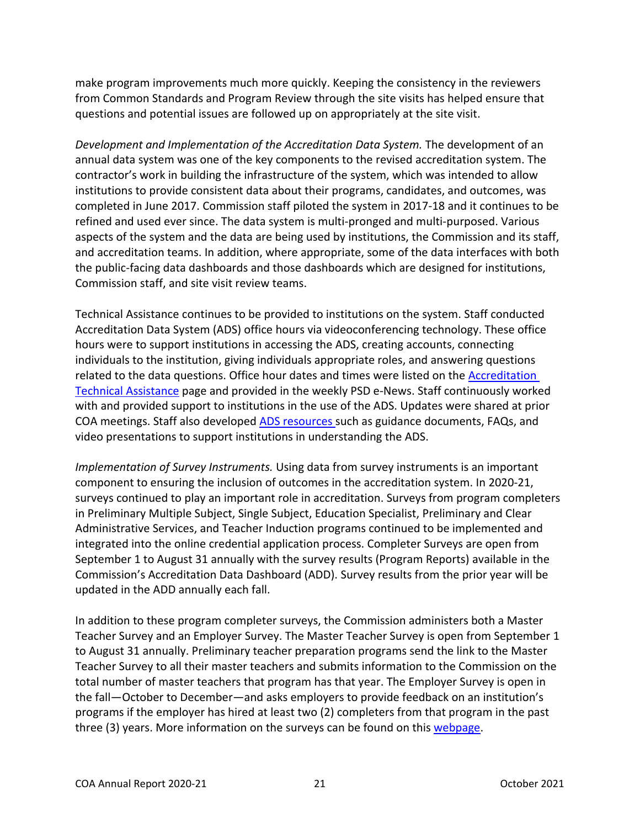make program improvements much more quickly. Keeping the consistency in the reviewers from Common Standards and Program Review through the site visits has helped ensure that questions and potential issues are followed up on appropriately at the site visit.

*Development and Implementation of the Accreditation Data System.* The development of an annual data system was one of the key components to the revised accreditation system. The contractor's work in building the infrastructure of the system, which was intended to allow institutions to provide consistent data about their programs, candidates, and outcomes, was completed in June 2017. Commission staff piloted the system in 2017-18 and it continues to be refined and used ever since. The data system is multi-pronged and multi-purposed. Various aspects of the system and the data are being used by institutions, the Commission and its staff, and accreditation teams. In addition, where appropriate, some of the data interfaces with both the public-facing data dashboards and those dashboards which are designed for institutions, Commission staff, and site visit review teams.

Technical Assistance continues to be provided to institutions on the system. Staff conducted Accreditation Data System (ADS) office hours via videoconferencing technology. These office hours were to support institutions in accessing the ADS, creating accounts, connecting individuals to the institution, giving individuals appropriate roles, and answering questions related to the data questions. Office hour dates and times were listed on the [Accreditation](https://www.ctc.ca.gov/educator-prep/accred-assist)  [Technical Assistance](https://www.ctc.ca.gov/educator-prep/accred-assist) page and provided in the weekly PSD e-News. Staff continuously worked with and provided support to institutions in the use of the ADS. Updates were shared at prior COA meetings. Staff also developed [ADS resources s](https://www.ctc.ca.gov/educator-prep/program-accred/accreditation-data-system-ads)uch as guidance documents, FAQs, and video presentations to support institutions in understanding the ADS.

*Implementation of Survey Instruments.* Using data from survey instruments is an important component to ensuring the inclusion of outcomes in the accreditation system. In 2020-21, surveys continued to play an important role in accreditation. Surveys from program completers in Preliminary Multiple Subject, Single Subject, Education Specialist, Preliminary and Clear Administrative Services, and Teacher Induction programs continued to be implemented and integrated into the online credential application process. Completer Surveys are open from September 1 to August 31 annually with the survey results (Program Reports) available in the Commission's Accreditation Data Dashboard (ADD). Survey results from the prior year will be updated in the ADD annually each fall.

In addition to these program completer surveys, the Commission administers both a Master Teacher Survey and an Employer Survey. The Master Teacher Survey is open from September 1 to August 31 annually. Preliminary teacher preparation programs send the link to the Master Teacher Survey to all their master teachers and submits information to the Commission on the total number of master teachers that program has that year. The Employer Survey is open in the fall—October to December—and asks employers to provide feedback on an institution's programs if the employer has hired at least two (2) completers from that program in the past three (3) years. More information on the surveys can be found on this [webpage.](https://www.ctc.ca.gov/educator-prep/completer-surveys)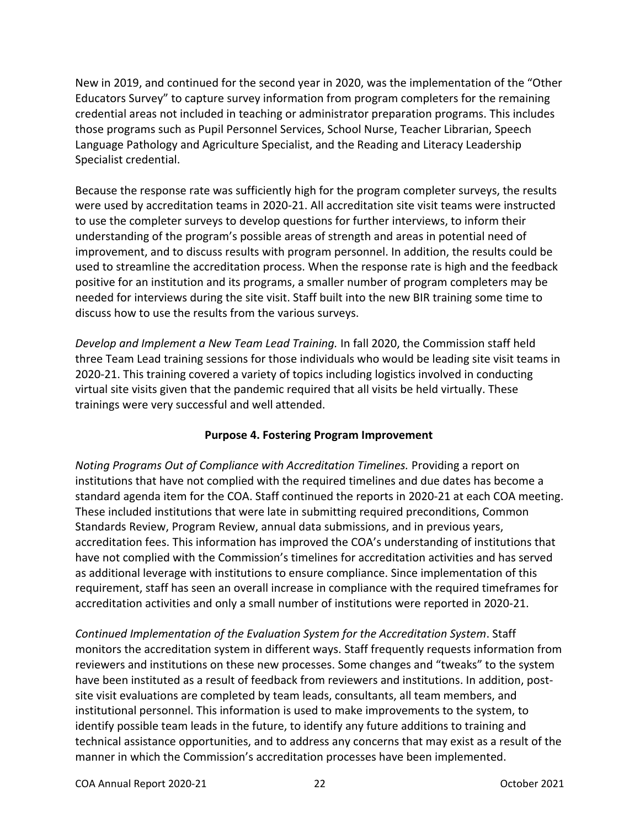New in 2019, and continued for the second year in 2020, was the implementation of the "Other Educators Survey" to capture survey information from program completers for the remaining credential areas not included in teaching or administrator preparation programs. This includes those programs such as Pupil Personnel Services, School Nurse, Teacher Librarian, Speech Language Pathology and Agriculture Specialist, and the Reading and Literacy Leadership Specialist credential.

Because the response rate was sufficiently high for the program completer surveys, the results were used by accreditation teams in 2020-21. All accreditation site visit teams were instructed to use the completer surveys to develop questions for further interviews, to inform their understanding of the program's possible areas of strength and areas in potential need of improvement, and to discuss results with program personnel. In addition, the results could be used to streamline the accreditation process. When the response rate is high and the feedback positive for an institution and its programs, a smaller number of program completers may be needed for interviews during the site visit. Staff built into the new BIR training some time to discuss how to use the results from the various surveys.

*Develop and Implement a New Team Lead Training.* In fall 2020, the Commission staff held three Team Lead training sessions for those individuals who would be leading site visit teams in 2020-21. This training covered a variety of topics including logistics involved in conducting virtual site visits given that the pandemic required that all visits be held virtually. These trainings were very successful and well attended.

## **Purpose 4. Fostering Program Improvement**

<span id="page-21-0"></span>*Noting Programs Out of Compliance with Accreditation Timelines.* Providing a report on institutions that have not complied with the required timelines and due dates has become a standard agenda item for the COA. Staff continued the reports in 2020-21 at each COA meeting. These included institutions that were late in submitting required preconditions, Common Standards Review, Program Review, annual data submissions, and in previous years, accreditation fees. This information has improved the COA's understanding of institutions that have not complied with the Commission's timelines for accreditation activities and has served as additional leverage with institutions to ensure compliance. Since implementation of this requirement, staff has seen an overall increase in compliance with the required timeframes for accreditation activities and only a small number of institutions were reported in 2020-21.

*Continued Implementation of the Evaluation System for the Accreditation System*. Staff monitors the accreditation system in different ways. Staff frequently requests information from reviewers and institutions on these new processes. Some changes and "tweaks" to the system have been instituted as a result of feedback from reviewers and institutions. In addition, postsite visit evaluations are completed by team leads, consultants, all team members, and institutional personnel. This information is used to make improvements to the system, to identify possible team leads in the future, to identify any future additions to training and technical assistance opportunities, and to address any concerns that may exist as a result of the manner in which the Commission's accreditation processes have been implemented.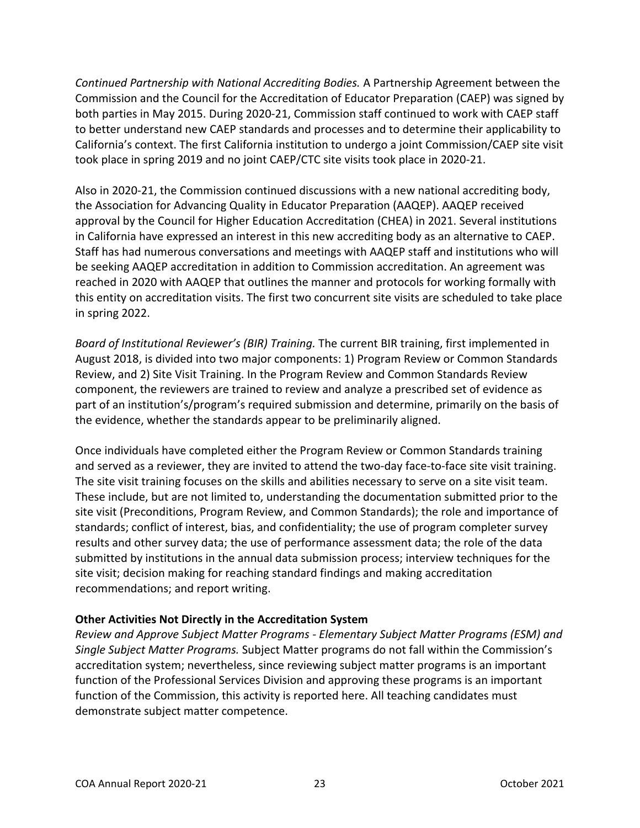*Continued Partnership with National Accrediting Bodies.* A Partnership Agreement between the Commission and the Council for the Accreditation of Educator Preparation (CAEP) was signed by both parties in May 2015. During 2020-21, Commission staff continued to work with CAEP staff to better understand new CAEP standards and processes and to determine their applicability to California's context. The first California institution to undergo a joint Commission/CAEP site visit took place in spring 2019 and no joint CAEP/CTC site visits took place in 2020-21.

Also in 2020-21, the Commission continued discussions with a new national accrediting body, the Association for Advancing Quality in Educator Preparation (AAQEP). AAQEP received approval by the Council for Higher Education Accreditation (CHEA) in 2021. Several institutions in California have expressed an interest in this new accrediting body as an alternative to CAEP. Staff has had numerous conversations and meetings with AAQEP staff and institutions who will be seeking AAQEP accreditation in addition to Commission accreditation. An agreement was reached in 2020 with AAQEP that outlines the manner and protocols for working formally with this entity on accreditation visits. The first two concurrent site visits are scheduled to take place in spring 2022.

*Board of Institutional Reviewer's (BIR) Training.* The current BIR training, first implemented in August 2018, is divided into two major components: 1) Program Review or Common Standards Review, and 2) Site Visit Training. In the Program Review and Common Standards Review component, the reviewers are trained to review and analyze a prescribed set of evidence as part of an institution's/program's required submission and determine, primarily on the basis of the evidence, whether the standards appear to be preliminarily aligned.

Once individuals have completed either the Program Review or Common Standards training and served as a reviewer, they are invited to attend the two-day face-to-face site visit training. The site visit training focuses on the skills and abilities necessary to serve on a site visit team. These include, but are not limited to, understanding the documentation submitted prior to the site visit (Preconditions, Program Review, and Common Standards); the role and importance of standards; conflict of interest, bias, and confidentiality; the use of program completer survey results and other survey data; the use of performance assessment data; the role of the data submitted by institutions in the annual data submission process; interview techniques for the site visit; decision making for reaching standard findings and making accreditation recommendations; and report writing.

## **Other Activities Not Directly in the Accreditation System**

*Review and Approve Subject Matter Programs - Elementary Subject Matter Programs (ESM) and Single Subject Matter Programs.* Subject Matter programs do not fall within the Commission's accreditation system; nevertheless, since reviewing subject matter programs is an important function of the Professional Services Division and approving these programs is an important function of the Commission, this activity is reported here. All teaching candidates must demonstrate subject matter competence.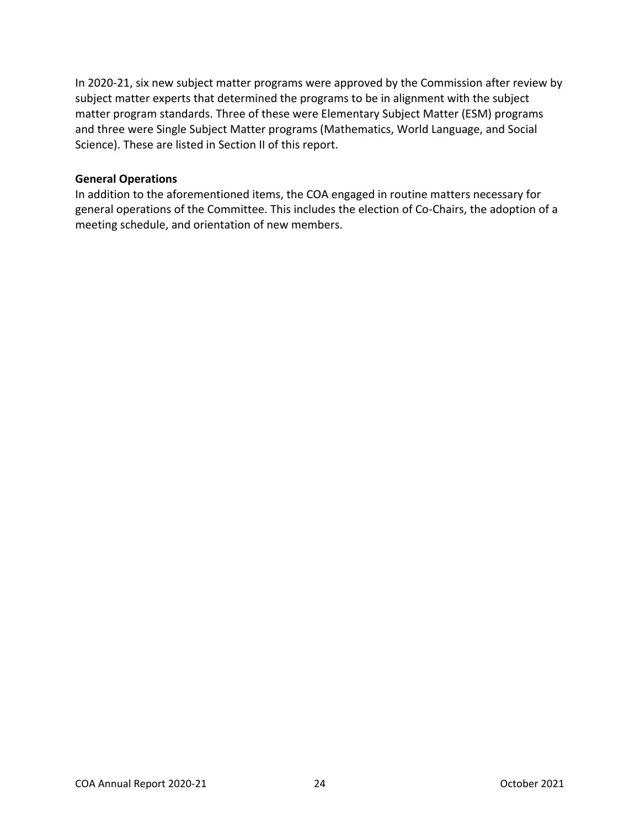In 2020-21, six new subject matter programs were approved by the Commission after review by subject matter experts that determined the programs to be in alignment with the subject matter program standards. Three of these were Elementary Subject Matter (ESM) programs and three were Single Subject Matter programs (Mathematics, World Language, and Social Science). These are listed in Section II of this report.

### **General Operations**

In addition to the aforementioned items, the COA engaged in routine matters necessary for general operations of the Committee. This includes the election of Co-Chairs, the adoption of a meeting schedule, and orientation of new members.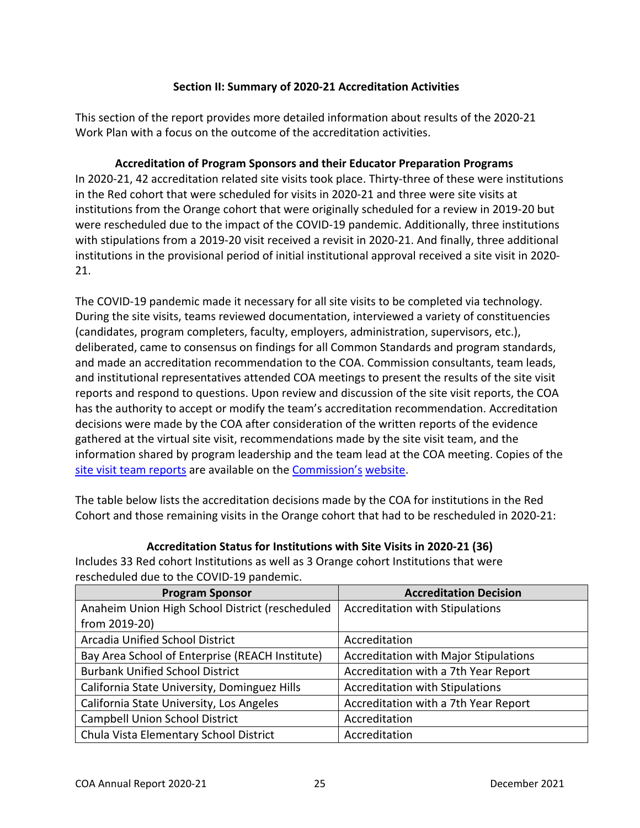## **Section II: Summary of 2020-21 Accreditation Activities**

<span id="page-24-0"></span>This section of the report provides more detailed information about results of the 2020-21 Work Plan with a focus on the outcome of the accreditation activities.

<span id="page-24-1"></span>**Accreditation of Program Sponsors and their Educator Preparation Programs** In 2020-21, 42 accreditation related site visits took place. Thirty-three of these were institutions in the Red cohort that were scheduled for visits in 2020-21 and three were site visits at institutions from the Orange cohort that were originally scheduled for a review in 2019-20 but were rescheduled due to the impact of the COVID-19 pandemic. Additionally, three institutions with stipulations from a 2019-20 visit received a revisit in 2020-21. And finally, three additional institutions in the provisional period of initial institutional approval received a site visit in 2020- 21.

The COVID-19 pandemic made it necessary for all site visits to be completed via technology. During the site visits, teams reviewed documentation, interviewed a variety of constituencies (candidates, program completers, faculty, employers, administration, supervisors, etc.), deliberated, came to consensus on findings for all Common Standards and program standards, and made an accreditation recommendation to the COA. Commission consultants, team leads, and institutional representatives attended COA meetings to present the results of the site visit reports and respond to questions. Upon review and discussion of the site visit reports, the COA has the authority to accept or modify the team's accreditation recommendation. Accreditation decisions were made by the COA after consideration of the written reports of the evidence gathered at the virtual site visit, recommendations made by the site visit team, and the information shared by program leadership and the team lead at the COA meeting. Copies of the [site visit team reports](https://info.ctc.ca.gov/fmp/accreditation/accreditation_reports.php) are available on the Commission's website.

The table below lists the accreditation decisions made by the COA for institutions in the Red Cohort and those remaining visits in the Orange cohort that had to be rescheduled in 2020-21:

**Accreditation Status for Institutions with Site Visits in 2020-21 (36)**

<span id="page-24-2"></span>Includes 33 Red cohort Institutions as well as 3 Orange cohort Institutions that were rescheduled due to the COVID-19 pandemic.

| <b>Program Sponsor</b>                          | <b>Accreditation Decision</b>                |
|-------------------------------------------------|----------------------------------------------|
| Anaheim Union High School District (rescheduled | <b>Accreditation with Stipulations</b>       |
| from 2019-20)                                   |                                              |
| Arcadia Unified School District                 | Accreditation                                |
| Bay Area School of Enterprise (REACH Institute) | <b>Accreditation with Major Stipulations</b> |
| <b>Burbank Unified School District</b>          | Accreditation with a 7th Year Report         |
| California State University, Dominguez Hills    | <b>Accreditation with Stipulations</b>       |
| California State University, Los Angeles        | Accreditation with a 7th Year Report         |
| <b>Campbell Union School District</b>           | Accreditation                                |
| Chula Vista Elementary School District          | Accreditation                                |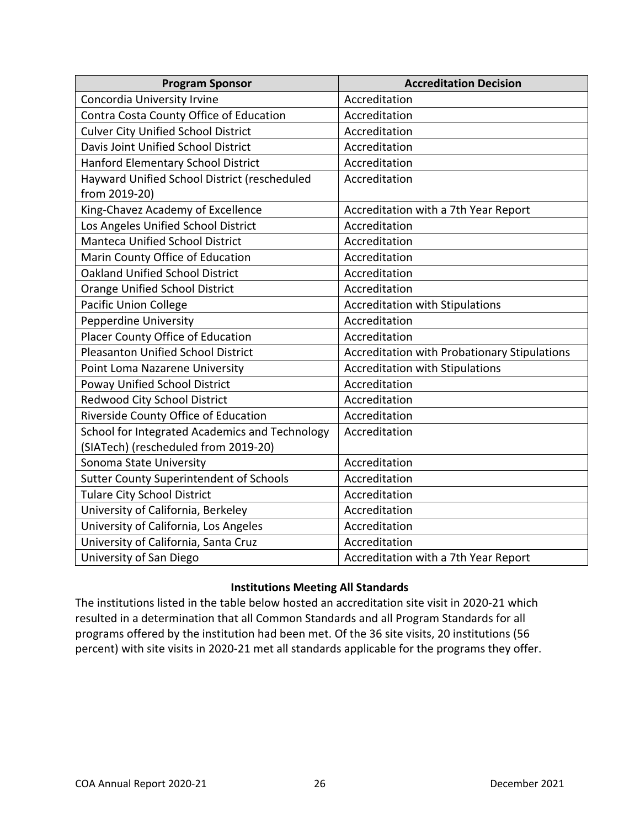| <b>Program Sponsor</b>                         | <b>Accreditation Decision</b>                |
|------------------------------------------------|----------------------------------------------|
| Concordia University Irvine                    | Accreditation                                |
| Contra Costa County Office of Education        | Accreditation                                |
| <b>Culver City Unified School District</b>     | Accreditation                                |
| Davis Joint Unified School District            | Accreditation                                |
| Hanford Elementary School District             | Accreditation                                |
| Hayward Unified School District (rescheduled   | Accreditation                                |
| from 2019-20)                                  |                                              |
| King-Chavez Academy of Excellence              | Accreditation with a 7th Year Report         |
| Los Angeles Unified School District            | Accreditation                                |
| <b>Manteca Unified School District</b>         | Accreditation                                |
| Marin County Office of Education               | Accreditation                                |
| <b>Oakland Unified School District</b>         | Accreditation                                |
| <b>Orange Unified School District</b>          | Accreditation                                |
| <b>Pacific Union College</b>                   | <b>Accreditation with Stipulations</b>       |
| <b>Pepperdine University</b>                   | Accreditation                                |
| Placer County Office of Education              | Accreditation                                |
| <b>Pleasanton Unified School District</b>      | Accreditation with Probationary Stipulations |
| Point Loma Nazarene University                 | <b>Accreditation with Stipulations</b>       |
| Poway Unified School District                  | Accreditation                                |
| Redwood City School District                   | Accreditation                                |
| Riverside County Office of Education           | Accreditation                                |
| School for Integrated Academics and Technology | Accreditation                                |
| (SIATech) (rescheduled from 2019-20)           |                                              |
| Sonoma State University                        | Accreditation                                |
| <b>Sutter County Superintendent of Schools</b> | Accreditation                                |
| <b>Tulare City School District</b>             | Accreditation                                |
| University of California, Berkeley             | Accreditation                                |
| University of California, Los Angeles          | Accreditation                                |
| University of California, Santa Cruz           | Accreditation                                |
| University of San Diego                        | Accreditation with a 7th Year Report         |

### **Institutions Meeting All Standards**

<span id="page-25-0"></span>The institutions listed in the table below hosted an accreditation site visit in 2020-21 which resulted in a determination that all Common Standards and all Program Standards for all programs offered by the institution had been met. Of the 36 site visits, 20 institutions (56 percent) with site visits in 2020-21 met all standards applicable for the programs they offer.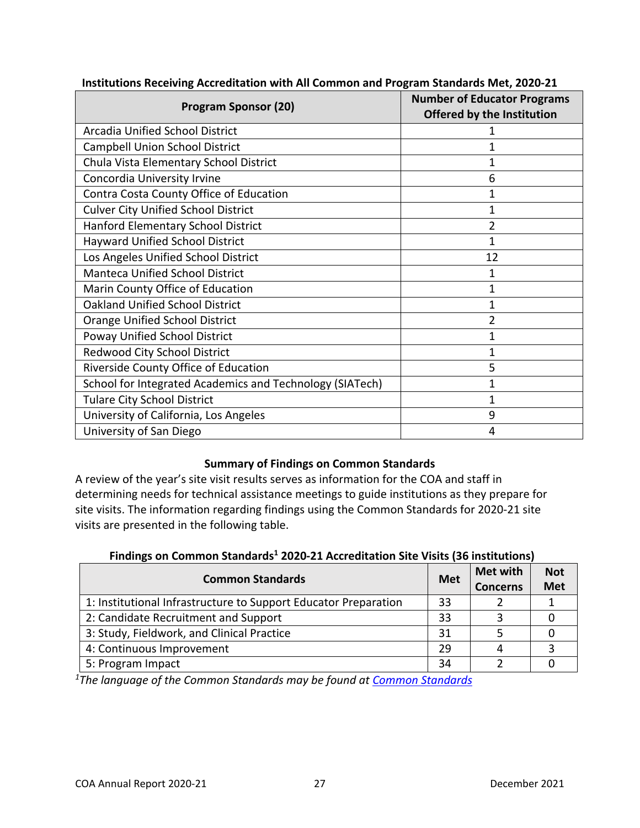| <b>Program Sponsor (20)</b>                              | <b>Number of Educator Programs</b><br><b>Offered by the Institution</b> |
|----------------------------------------------------------|-------------------------------------------------------------------------|
| <b>Arcadia Unified School District</b>                   |                                                                         |
| Campbell Union School District                           |                                                                         |
| Chula Vista Elementary School District                   |                                                                         |
| Concordia University Irvine                              | 6                                                                       |
| Contra Costa County Office of Education                  |                                                                         |
| <b>Culver City Unified School District</b>               |                                                                         |
| Hanford Elementary School District                       |                                                                         |
| <b>Hayward Unified School District</b>                   | 1                                                                       |
| Los Angeles Unified School District                      | 12                                                                      |
| <b>Manteca Unified School District</b>                   | 1                                                                       |
| Marin County Office of Education                         | 1                                                                       |
| <b>Oakland Unified School District</b>                   | 1                                                                       |
| <b>Orange Unified School District</b>                    | 2                                                                       |
| Poway Unified School District                            | 1                                                                       |
| Redwood City School District                             | 1                                                                       |
| Riverside County Office of Education                     | 5                                                                       |
| School for Integrated Academics and Technology (SIATech) | 1                                                                       |
| <b>Tulare City School District</b>                       | 1                                                                       |
| University of California, Los Angeles                    | 9                                                                       |
| University of San Diego                                  | 4                                                                       |

#### <span id="page-26-0"></span>**Institutions Receiving Accreditation with All Common and Program Standards Met, 2020-21**

#### **Summary of Findings on Common Standards**

<span id="page-26-1"></span>A review of the year's site visit results serves as information for the COA and staff in determining needs for technical assistance meetings to guide institutions as they prepare for site visits. The information regarding findings using the Common Standards for 2020-21 site visits are presented in the following table.

#### **Findings on Common Standards<sup>1</sup> 2020-21 Accreditation Site Visits (36 institutions)**

<span id="page-26-2"></span>

| <b>Common Standards</b>                                         | <b>Met</b> | <b>Met with</b><br><b>Concerns</b> | <b>Not</b><br><b>Met</b> |
|-----------------------------------------------------------------|------------|------------------------------------|--------------------------|
| 1: Institutional Infrastructure to Support Educator Preparation | 33         |                                    |                          |
| 2: Candidate Recruitment and Support                            | 33         |                                    |                          |
| 3: Study, Fieldwork, and Clinical Practice                      | 31         |                                    |                          |
| 4: Continuous Improvement                                       | 29         |                                    |                          |
| 5: Program Impact                                               | 34         |                                    |                          |

<span id="page-26-3"></span>*1The language of the Common Standards may be found at [Common Standards](https://www.ctc.ca.gov/docs/default-source/educator-prep/standards/commonstandards-2015-pdf.pdf?sfvrsn=0)*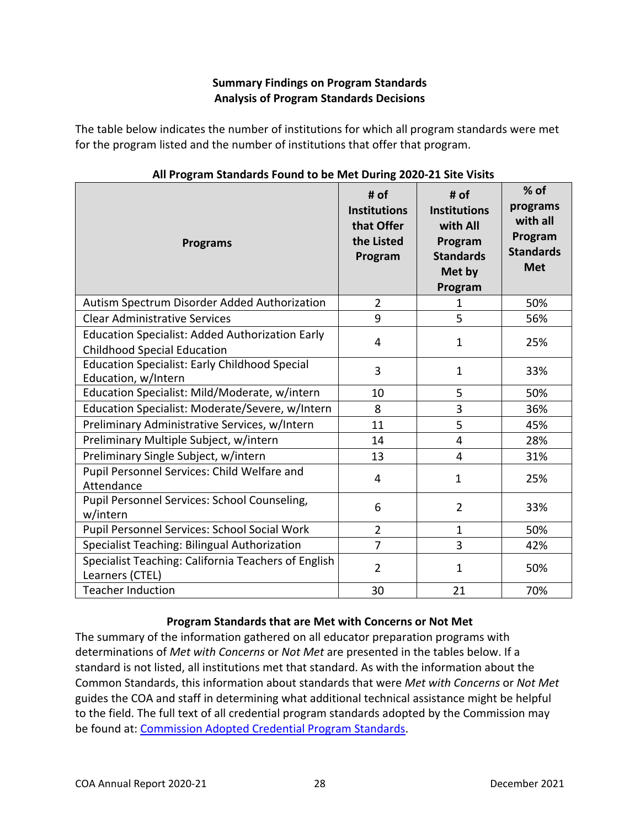## **Summary Findings on Program Standards Analysis of Program Standards Decisions**

The table below indicates the number of institutions for which all program standards were met for the program listed and the number of institutions that offer that program.

<span id="page-27-0"></span>

| <b>Programs</b>                                                                              | # of<br><b>Institutions</b><br>that Offer<br>the Listed<br>Program | # of<br><b>Institutions</b><br>with All<br>Program<br><b>Standards</b><br>Met by<br>Program | $%$ of<br>programs<br>with all<br>Program<br><b>Standards</b><br><b>Met</b> |
|----------------------------------------------------------------------------------------------|--------------------------------------------------------------------|---------------------------------------------------------------------------------------------|-----------------------------------------------------------------------------|
| Autism Spectrum Disorder Added Authorization                                                 | $\overline{2}$                                                     | 1                                                                                           | 50%                                                                         |
| <b>Clear Administrative Services</b>                                                         | 9                                                                  | 5                                                                                           | 56%                                                                         |
| <b>Education Specialist: Added Authorization Early</b><br><b>Childhood Special Education</b> | 4                                                                  | 1                                                                                           | 25%                                                                         |
| <b>Education Specialist: Early Childhood Special</b><br>Education, w/Intern                  | 3                                                                  | $\mathbf 1$                                                                                 | 33%                                                                         |
| Education Specialist: Mild/Moderate, w/intern                                                | 10                                                                 | 5                                                                                           | 50%                                                                         |
| Education Specialist: Moderate/Severe, w/Intern                                              | 8                                                                  | 3                                                                                           | 36%                                                                         |
| Preliminary Administrative Services, w/Intern                                                | 11                                                                 | 5                                                                                           | 45%                                                                         |
| Preliminary Multiple Subject, w/intern                                                       | 14                                                                 | 4                                                                                           | 28%                                                                         |
| Preliminary Single Subject, w/intern                                                         | 13                                                                 | 4                                                                                           | 31%                                                                         |
| Pupil Personnel Services: Child Welfare and<br>Attendance                                    | 4                                                                  | 1                                                                                           | 25%                                                                         |
| Pupil Personnel Services: School Counseling,<br>w/intern                                     | 6                                                                  | $\overline{2}$                                                                              | 33%                                                                         |
| Pupil Personnel Services: School Social Work                                                 | $\overline{2}$                                                     | $\mathbf{1}$                                                                                | 50%                                                                         |
| Specialist Teaching: Bilingual Authorization                                                 | 7                                                                  | 3                                                                                           | 42%                                                                         |
| Specialist Teaching: California Teachers of English<br>Learners (CTEL)                       | $\overline{2}$                                                     | 1                                                                                           | 50%                                                                         |
| <b>Teacher Induction</b>                                                                     | 30                                                                 | 21                                                                                          | 70%                                                                         |

## **All Program Standards Found to be Met During 2020-21 Site Visits**

## **Program Standards that are Met with Concerns or Not Met**

<span id="page-27-1"></span>The summary of the information gathered on all educator preparation programs with determinations of *Met with Concerns* or *Not Met* are presented in the tables below. If a standard is not listed, all institutions met that standard. As with the information about the Common Standards, this information about standards that were *Met with Concerns* or *Not Met*  guides the COA and staff in determining what additional technical assistance might be helpful to the field. The full text of all credential program standards adopted by the Commission may be found at: [Commission Adopted Credential Program Standards.](https://www.ctc.ca.gov/educator-prep/stds-prep-program)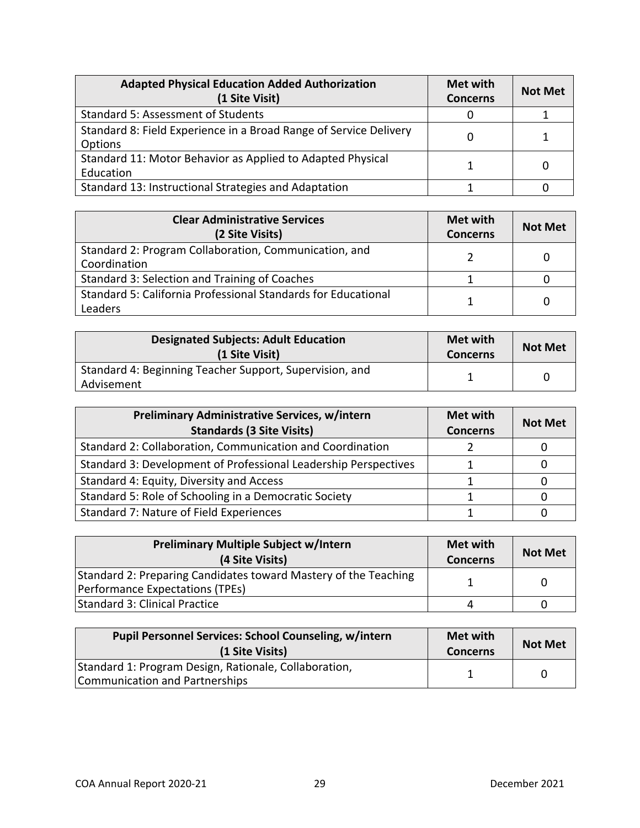| <b>Adapted Physical Education Added Authorization</b><br>(1 Site Visit)      | Met with<br><b>Concerns</b> | <b>Not Met</b> |
|------------------------------------------------------------------------------|-----------------------------|----------------|
| Standard 5: Assessment of Students                                           |                             |                |
| Standard 8: Field Experience in a Broad Range of Service Delivery<br>Options |                             |                |
| Standard 11: Motor Behavior as Applied to Adapted Physical<br>Education      |                             |                |
| Standard 13: Instructional Strategies and Adaptation                         |                             |                |

| <b>Clear Administrative Services</b><br>(2 Site Visits)                  | Met with<br><b>Concerns</b> | <b>Not Met</b> |
|--------------------------------------------------------------------------|-----------------------------|----------------|
| Standard 2: Program Collaboration, Communication, and<br>Coordination    |                             |                |
| Standard 3: Selection and Training of Coaches                            |                             |                |
| Standard 5: California Professional Standards for Educational<br>Leaders |                             |                |

| <b>Designated Subjects: Adult Education</b><br>(1 Site Visit)         | Met with<br><b>Concerns</b> | <b>Not Met</b> |
|-----------------------------------------------------------------------|-----------------------------|----------------|
| Standard 4: Beginning Teacher Support, Supervision, and<br>Advisement |                             |                |

| <b>Preliminary Administrative Services, w/intern</b><br><b>Standards (3 Site Visits)</b> | Met with<br><b>Concerns</b> | <b>Not Met</b> |
|------------------------------------------------------------------------------------------|-----------------------------|----------------|
| Standard 2: Collaboration, Communication and Coordination                                |                             |                |
| Standard 3: Development of Professional Leadership Perspectives                          |                             |                |
| Standard 4: Equity, Diversity and Access                                                 |                             |                |
| Standard 5: Role of Schooling in a Democratic Society                                    |                             |                |
| Standard 7: Nature of Field Experiences                                                  |                             |                |

| <b>Preliminary Multiple Subject w/Intern</b><br>(4 Site Visits)                                    | Met with<br><b>Concerns</b> | <b>Not Met</b> |
|----------------------------------------------------------------------------------------------------|-----------------------------|----------------|
| Standard 2: Preparing Candidates toward Mastery of the Teaching<br>Performance Expectations (TPEs) |                             |                |
| Standard 3: Clinical Practice                                                                      |                             |                |

| <b>Pupil Personnel Services: School Counseling, w/intern</b><br>(1 Site Visits) | Met with<br><b>Concerns</b> | <b>Not Met</b> |
|---------------------------------------------------------------------------------|-----------------------------|----------------|
| Standard 1: Program Design, Rationale, Collaboration,                           |                             |                |
| Communication and Partnerships                                                  |                             |                |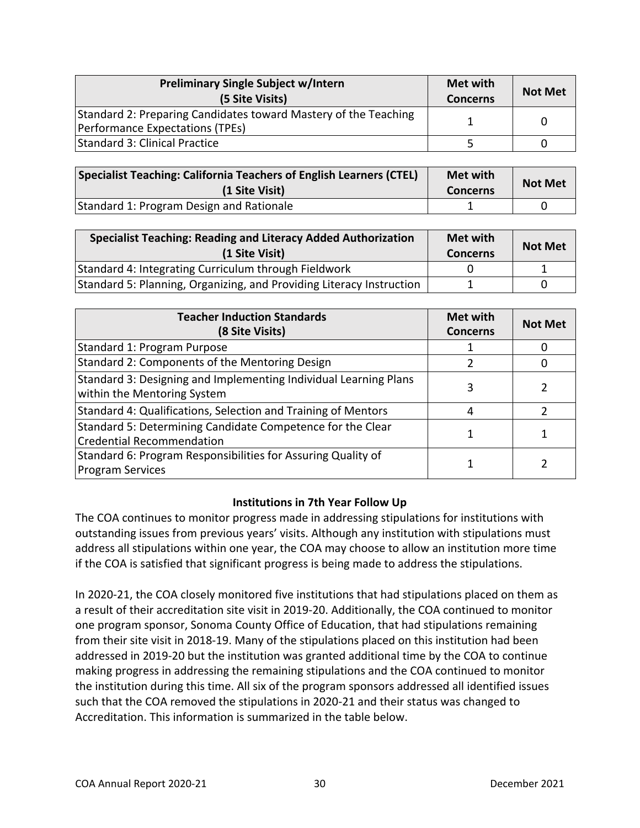| <b>Preliminary Single Subject w/Intern</b><br>(5 Site Visits)   | Met with<br><b>Concerns</b> | <b>Not Met</b> |
|-----------------------------------------------------------------|-----------------------------|----------------|
| Standard 2: Preparing Candidates toward Mastery of the Teaching |                             | 0              |
| Performance Expectations (TPEs)                                 |                             |                |
| Standard 3: Clinical Practice                                   |                             |                |

| Specialist Teaching: California Teachers of English Learners (CTEL)<br>(1 Site Visit) | <b>Met with</b><br><b>Concerns</b> | <b>Not Met</b> |
|---------------------------------------------------------------------------------------|------------------------------------|----------------|
| Standard 1: Program Design and Rationale                                              |                                    |                |

| <b>Specialist Teaching: Reading and Literacy Added Authorization</b><br>(1 Site Visit) | Met with<br><b>Concerns</b> | <b>Not Met</b> |
|----------------------------------------------------------------------------------------|-----------------------------|----------------|
| Standard 4: Integrating Curriculum through Fieldwork                                   |                             |                |
| Standard 5: Planning, Organizing, and Providing Literacy Instruction                   |                             |                |

| <b>Teacher Induction Standards</b><br>(8 Site Visits)                                           | Met with<br><b>Concerns</b> | <b>Not Met</b> |
|-------------------------------------------------------------------------------------------------|-----------------------------|----------------|
| Standard 1: Program Purpose                                                                     |                             |                |
| Standard 2: Components of the Mentoring Design                                                  |                             |                |
| Standard 3: Designing and Implementing Individual Learning Plans<br>within the Mentoring System | 3                           |                |
| Standard 4: Qualifications, Selection and Training of Mentors                                   |                             |                |
| Standard 5: Determining Candidate Competence for the Clear<br><b>Credential Recommendation</b>  |                             |                |
| Standard 6: Program Responsibilities for Assuring Quality of<br><b>Program Services</b>         |                             |                |

## **Institutions in 7th Year Follow Up**

<span id="page-29-0"></span>The COA continues to monitor progress made in addressing stipulations for institutions with outstanding issues from previous years' visits. Although any institution with stipulations must address all stipulations within one year, the COA may choose to allow an institution more time if the COA is satisfied that significant progress is being made to address the stipulations.

In 2020-21, the COA closely monitored five institutions that had stipulations placed on them as a result of their accreditation site visit in 2019-20. Additionally, the COA continued to monitor one program sponsor, Sonoma County Office of Education, that had stipulations remaining from their site visit in 2018-19. Many of the stipulations placed on this institution had been addressed in 2019-20 but the institution was granted additional time by the COA to continue making progress in addressing the remaining stipulations and the COA continued to monitor the institution during this time. All six of the program sponsors addressed all identified issues such that the COA removed the stipulations in 2020-21 and their status was changed to Accreditation. This information is summarized in the table below.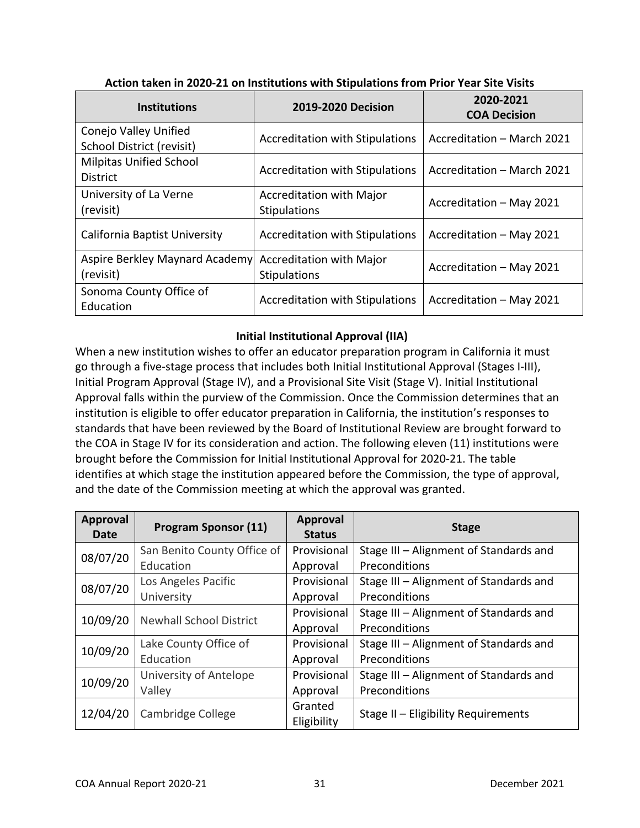<span id="page-30-0"></span>

| <b>Institutions</b>                                       | <b>2019-2020 Decision</b>                       | 2020-2021<br><b>COA Decision</b> |
|-----------------------------------------------------------|-------------------------------------------------|----------------------------------|
| Conejo Valley Unified<br><b>School District (revisit)</b> | <b>Accreditation with Stipulations</b>          | Accreditation - March 2021       |
| <b>Milpitas Unified School</b><br><b>District</b>         | <b>Accreditation with Stipulations</b>          | Accreditation - March 2021       |
| University of La Verne<br>(revisit)                       | <b>Accreditation with Major</b><br>Stipulations | Accreditation - May 2021         |
| California Baptist University                             | <b>Accreditation with Stipulations</b>          | Accreditation - May 2021         |
| Aspire Berkley Maynard Academy<br>(revisit)               | Accreditation with Major<br>Stipulations        | Accreditation - May 2021         |
| Sonoma County Office of<br>Education                      | <b>Accreditation with Stipulations</b>          | Accreditation - May 2021         |

#### **Action taken in 2020-21 on Institutions with Stipulations from Prior Year Site Visits**

## **Initial Institutional Approval (IIA)**

When a new institution wishes to offer an educator preparation program in California it must go through a five-stage process that includes both Initial Institutional Approval (Stages I-III), Initial Program Approval (Stage IV), and a Provisional Site Visit (Stage V). Initial Institutional Approval falls within the purview of the Commission. Once the Commission determines that an institution is eligible to offer educator preparation in California, the institution's responses to standards that have been reviewed by the Board of Institutional Review are brought forward to the COA in Stage IV for its consideration and action. The following eleven (11) institutions were brought before the Commission for Initial Institutional Approval for 2020-21. The table identifies at which stage the institution appeared before the Commission, the type of approval, and the date of the Commission meeting at which the approval was granted.

| <b>Approval</b><br><b>Date</b>             | <b>Program Sponsor (11)</b> | Approval<br><b>Status</b> | <b>Stage</b>                           |
|--------------------------------------------|-----------------------------|---------------------------|----------------------------------------|
| 08/07/20                                   | San Benito County Office of | Provisional               | Stage III - Alignment of Standards and |
|                                            | Education                   | Approval                  | Preconditions                          |
| 08/07/20                                   | Los Angeles Pacific         | Provisional               | Stage III - Alignment of Standards and |
|                                            | University                  | Approval                  | Preconditions                          |
| 10/09/20<br><b>Newhall School District</b> |                             | Provisional               | Stage III - Alignment of Standards and |
|                                            |                             | Approval                  | Preconditions                          |
|                                            | Lake County Office of       | Provisional               | Stage III - Alignment of Standards and |
| 10/09/20<br>Education                      | Approval                    | Preconditions             |                                        |
|                                            | University of Antelope      | Provisional               | Stage III - Alignment of Standards and |
| 10/09/20                                   | Valley                      | Approval                  | Preconditions                          |
| 12/04/20                                   | Cambridge College           | Granted<br>Eligibility    | Stage II - Eligibility Requirements    |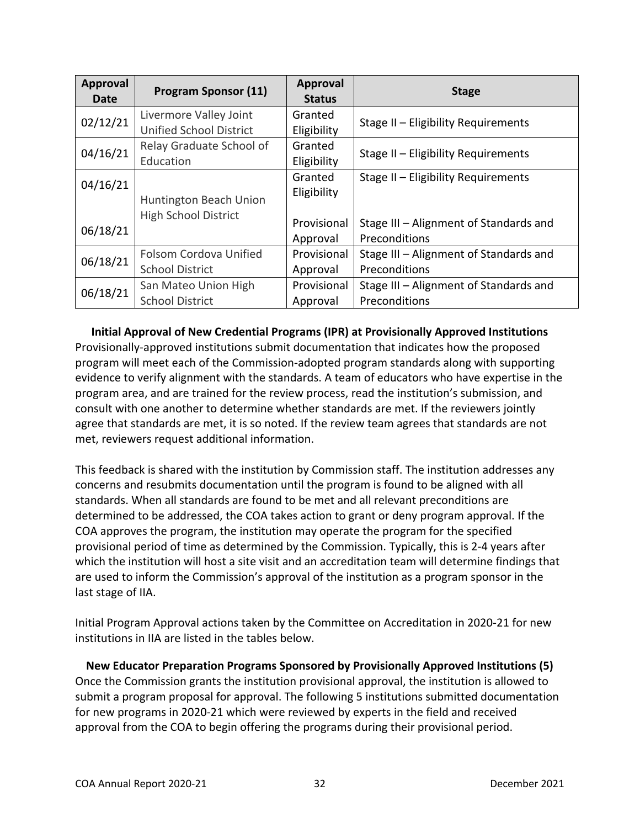| <b>Approval</b><br>Date | <b>Program Sponsor (11)</b>    | <b>Approval</b><br><b>Status</b> | <b>Stage</b>                           |
|-------------------------|--------------------------------|----------------------------------|----------------------------------------|
| 02/12/21                | Livermore Valley Joint         | Granted                          | Stage II - Eligibility Requirements    |
|                         | <b>Unified School District</b> | Eligibility                      |                                        |
| 04/16/21                | Relay Graduate School of       | Granted                          | Stage II - Eligibility Requirements    |
|                         | Education                      | Eligibility                      |                                        |
| 04/16/21                |                                | Granted                          | Stage II - Eligibility Requirements    |
|                         | Huntington Beach Union         | Eligibility                      |                                        |
|                         |                                |                                  |                                        |
| 06/18/21                | <b>High School District</b>    | Provisional                      | Stage III - Alignment of Standards and |
|                         |                                | Approval                         | Preconditions                          |
| 06/18/21                | Folsom Cordova Unified         | Provisional                      | Stage III - Alignment of Standards and |
|                         | <b>School District</b>         | Approval                         | Preconditions                          |
| 06/18/21                | San Mateo Union High           | Provisional                      | Stage III - Alignment of Standards and |
|                         | <b>School District</b>         | Approval                         | Preconditions                          |

### **Initial Approval of New Credential Programs (IPR) at Provisionally Approved Institutions**

<span id="page-31-0"></span>Provisionally-approved institutions submit documentation that indicates how the proposed program will meet each of the Commission-adopted program standards along with supporting evidence to verify alignment with the standards. A team of educators who have expertise in the program area, and are trained for the review process, read the institution's submission, and consult with one another to determine whether standards are met. If the reviewers jointly agree that standards are met, it is so noted. If the review team agrees that standards are not met, reviewers request additional information.

This feedback is shared with the institution by Commission staff. The institution addresses any concerns and resubmits documentation until the program is found to be aligned with all standards. When all standards are found to be met and all relevant preconditions are determined to be addressed, the COA takes action to grant or deny program approval. If the COA approves the program, the institution may operate the program for the specified provisional period of time as determined by the Commission. Typically, this is 2-4 years after which the institution will host a site visit and an accreditation team will determine findings that are used to inform the Commission's approval of the institution as a program sponsor in the last stage of IIA.

Initial Program Approval actions taken by the Committee on Accreditation in 2020-21 for new institutions in IIA are listed in the tables below.

<span id="page-31-1"></span>**New Educator Preparation Programs Sponsored by Provisionally Approved Institutions (5)** Once the Commission grants the institution provisional approval, the institution is allowed to submit a program proposal for approval. The following 5 institutions submitted documentation for new programs in 2020-21 which were reviewed by experts in the field and received approval from the COA to begin offering the programs during their provisional period.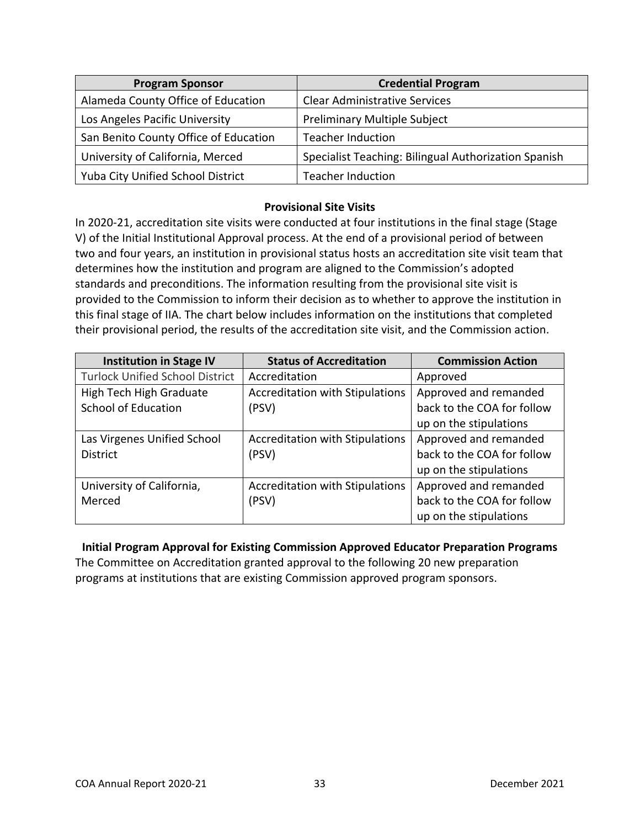| <b>Program Sponsor</b>                | <b>Credential Program</b>                            |
|---------------------------------------|------------------------------------------------------|
| Alameda County Office of Education    | <b>Clear Administrative Services</b>                 |
| Los Angeles Pacific University        | Preliminary Multiple Subject                         |
| San Benito County Office of Education | <b>Teacher Induction</b>                             |
| University of California, Merced      | Specialist Teaching: Bilingual Authorization Spanish |
| Yuba City Unified School District     | <b>Teacher Induction</b>                             |

## **Provisional Site Visits**

In 2020-21, accreditation site visits were conducted at four institutions in the final stage (Stage V) of the Initial Institutional Approval process. At the end of a provisional period of between two and four years, an institution in provisional status hosts an accreditation site visit team that determines how the institution and program are aligned to the Commission's adopted standards and preconditions. The information resulting from the provisional site visit is provided to the Commission to inform their decision as to whether to approve the institution in this final stage of IIA. The chart below includes information on the institutions that completed their provisional period, the results of the accreditation site visit, and the Commission action.

| <b>Institution in Stage IV</b>         | <b>Status of Accreditation</b>         | <b>Commission Action</b>   |
|----------------------------------------|----------------------------------------|----------------------------|
| <b>Turlock Unified School District</b> | Accreditation                          | Approved                   |
| High Tech High Graduate                | <b>Accreditation with Stipulations</b> | Approved and remanded      |
| <b>School of Education</b>             | (PSV)                                  | back to the COA for follow |
|                                        |                                        | up on the stipulations     |
| Las Virgenes Unified School            | Accreditation with Stipulations        | Approved and remanded      |
| <b>District</b>                        | (PSV)                                  | back to the COA for follow |
|                                        |                                        | up on the stipulations     |
| University of California,              | Accreditation with Stipulations        | Approved and remanded      |
| Merced                                 | (PSV)                                  | back to the COA for follow |
|                                        |                                        | up on the stipulations     |

**Initial Program Approval for Existing Commission Approved Educator Preparation Programs** The Committee on Accreditation granted approval to the following 20 new preparation programs at institutions that are existing Commission approved program sponsors.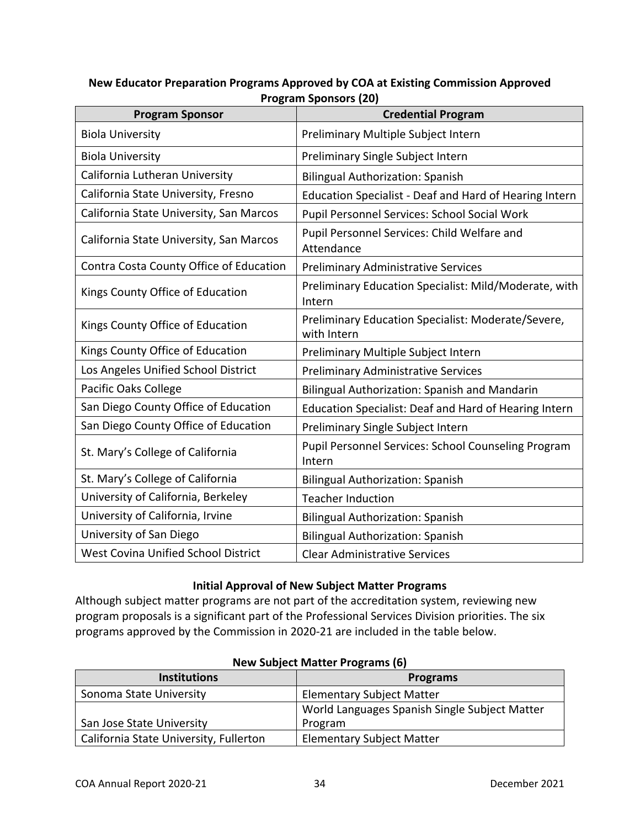| <b>Program Sponsor</b>                  | ן טאן כוטנוטעכ וווסקטו ו<br><b>Credential Program</b>             |
|-----------------------------------------|-------------------------------------------------------------------|
| <b>Biola University</b>                 | Preliminary Multiple Subject Intern                               |
| <b>Biola University</b>                 | Preliminary Single Subject Intern                                 |
| California Lutheran University          | <b>Bilingual Authorization: Spanish</b>                           |
| California State University, Fresno     | Education Specialist - Deaf and Hard of Hearing Intern            |
| California State University, San Marcos | Pupil Personnel Services: School Social Work                      |
| California State University, San Marcos | Pupil Personnel Services: Child Welfare and<br>Attendance         |
| Contra Costa County Office of Education | <b>Preliminary Administrative Services</b>                        |
| Kings County Office of Education        | Preliminary Education Specialist: Mild/Moderate, with<br>Intern   |
| Kings County Office of Education        | Preliminary Education Specialist: Moderate/Severe,<br>with Intern |
| Kings County Office of Education        | Preliminary Multiple Subject Intern                               |
| Los Angeles Unified School District     | <b>Preliminary Administrative Services</b>                        |
| Pacific Oaks College                    | Bilingual Authorization: Spanish and Mandarin                     |
| San Diego County Office of Education    | Education Specialist: Deaf and Hard of Hearing Intern             |
| San Diego County Office of Education    | Preliminary Single Subject Intern                                 |
| St. Mary's College of California        | Pupil Personnel Services: School Counseling Program<br>Intern     |
| St. Mary's College of California        | <b>Bilingual Authorization: Spanish</b>                           |
| University of California, Berkeley      | <b>Teacher Induction</b>                                          |
| University of California, Irvine        | <b>Bilingual Authorization: Spanish</b>                           |
| University of San Diego                 | <b>Bilingual Authorization: Spanish</b>                           |
| West Covina Unified School District     | <b>Clear Administrative Services</b>                              |

## <span id="page-33-0"></span>**New Educator Preparation Programs Approved by COA at Existing Commission Approved Program Sponsors (20)**

## **Initial Approval of New Subject Matter Programs**

<span id="page-33-1"></span>Although subject matter programs are not part of the accreditation system, reviewing new program proposals is a significant part of the Professional Services Division priorities. The six programs approved by the Commission in 2020-21 are included in the table below.

| <b>Institutions</b>                    | <b>Programs</b>                               |
|----------------------------------------|-----------------------------------------------|
| Sonoma State University                | <b>Elementary Subject Matter</b>              |
|                                        | World Languages Spanish Single Subject Matter |
| San Jose State University              | Program                                       |
| California State University, Fullerton | <b>Elementary Subject Matter</b>              |

#### **New Subject Matter Programs (6)**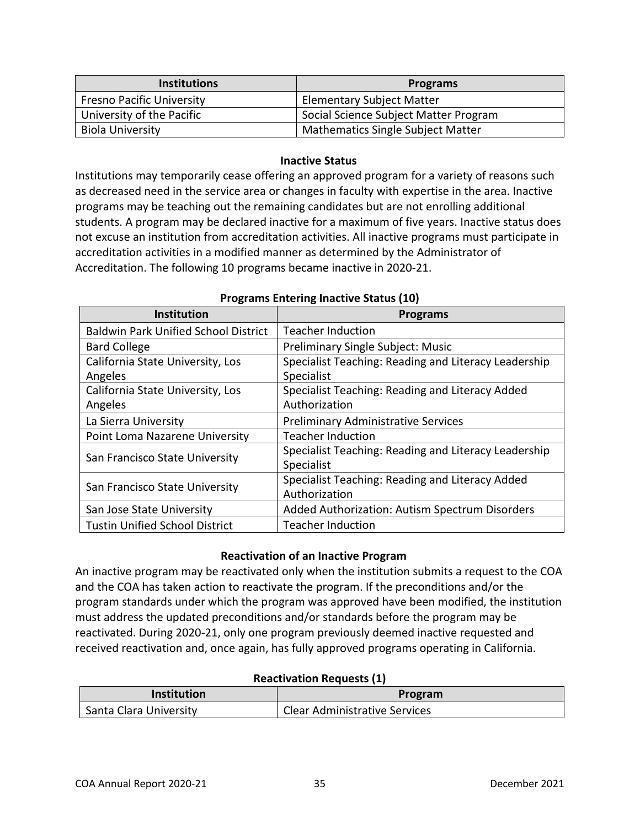| <b>Institutions</b>              | <b>Programs</b>                          |
|----------------------------------|------------------------------------------|
| <b>Fresno Pacific University</b> | <b>Elementary Subject Matter</b>         |
| University of the Pacific        | Social Science Subject Matter Program    |
| <b>Biola University</b>          | <b>Mathematics Single Subject Matter</b> |

#### **Inactive Status**

<span id="page-34-0"></span>Institutions may temporarily cease offering an approved program for a variety of reasons such as decreased need in the service area or changes in faculty with expertise in the area. Inactive programs may be teaching out the remaining candidates but are not enrolling additional students. A program may be declared inactive for a maximum of five years. Inactive status does not excuse an institution from accreditation activities. All inactive programs must participate in accreditation activities in a modified manner as determined by the Administrator of Accreditation. The following 10 programs became inactive in 2020-21.

| <b>Institution</b>                          | <b>Programs</b>                                      |
|---------------------------------------------|------------------------------------------------------|
| <b>Baldwin Park Unified School District</b> | <b>Teacher Induction</b>                             |
| <b>Bard College</b>                         | <b>Preliminary Single Subject: Music</b>             |
| California State University, Los            | Specialist Teaching: Reading and Literacy Leadership |
| Angeles                                     | Specialist                                           |
| California State University, Los            | Specialist Teaching: Reading and Literacy Added      |
| Angeles                                     | Authorization                                        |
| La Sierra University                        | <b>Preliminary Administrative Services</b>           |
| Point Loma Nazarene University              | <b>Teacher Induction</b>                             |
| San Francisco State University              | Specialist Teaching: Reading and Literacy Leadership |
|                                             | Specialist                                           |
| San Francisco State University              | Specialist Teaching: Reading and Literacy Added      |
|                                             | Authorization                                        |
| San Jose State University                   | Added Authorization: Autism Spectrum Disorders       |
| <b>Tustin Unified School District</b>       | <b>Teacher Induction</b>                             |

#### **Programs Entering Inactive Status (10)**

#### **Reactivation of an Inactive Program**

<span id="page-34-1"></span>An inactive program may be reactivated only when the institution submits a request to the COA and the COA has taken action to reactivate the program. If the preconditions and/or the program standards under which the program was approved have been modified, the institution must address the updated preconditions and/or standards before the program may be reactivated. During 2020-21, only one program previously deemed inactive requested and received reactivation and, once again, has fully approved programs operating in California.

#### **Reactivation Requests (1)**

| <b>Institution</b>     | Program                              |
|------------------------|--------------------------------------|
| Santa Clara University | <b>Clear Administrative Services</b> |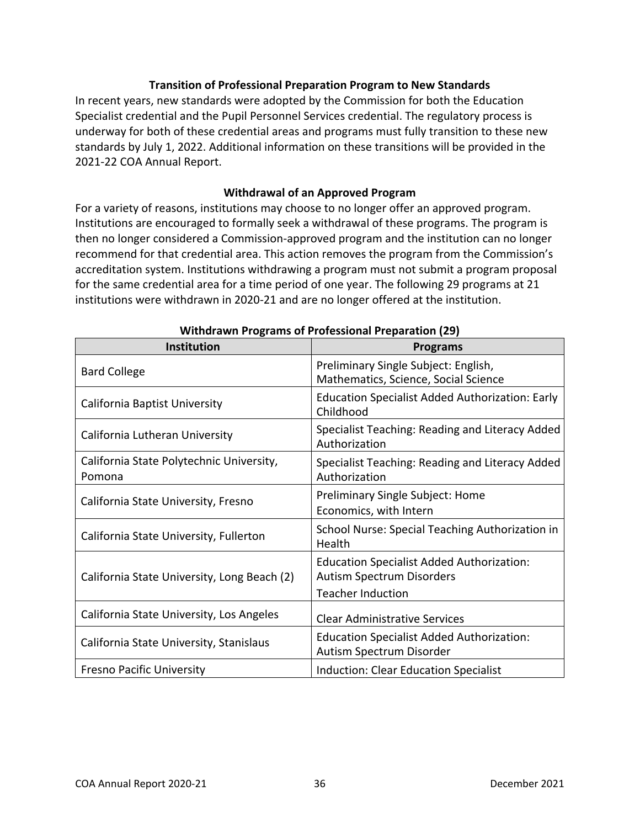## **Transition of Professional Preparation Program to New Standards**

<span id="page-35-0"></span>In recent years, new standards were adopted by the Commission for both the Education Specialist credential and the Pupil Personnel Services credential. The regulatory process is underway for both of these credential areas and programs must fully transition to these new standards by July 1, 2022. Additional information on these transitions will be provided in the 2021-22 COA Annual Report.

#### **Withdrawal of an Approved Program**

<span id="page-35-1"></span>For a variety of reasons, institutions may choose to no longer offer an approved program. Institutions are encouraged to formally seek a withdrawal of these programs. The program is then no longer considered a Commission-approved program and the institution can no longer recommend for that credential area. This action removes the program from the Commission's accreditation system. Institutions withdrawing a program must not submit a program proposal for the same credential area for a time period of one year. The following 29 programs at 21 institutions were withdrawn in 2020-21 and are no longer offered at the institution.

| Institution                                        | <b>Programs</b>                                                                                                  |
|----------------------------------------------------|------------------------------------------------------------------------------------------------------------------|
| <b>Bard College</b>                                | Preliminary Single Subject: English,<br>Mathematics, Science, Social Science                                     |
| California Baptist University                      | <b>Education Specialist Added Authorization: Early</b><br>Childhood                                              |
| California Lutheran University                     | Specialist Teaching: Reading and Literacy Added<br>Authorization                                                 |
| California State Polytechnic University,<br>Pomona | Specialist Teaching: Reading and Literacy Added<br>Authorization                                                 |
| California State University, Fresno                | Preliminary Single Subject: Home<br>Economics, with Intern                                                       |
| California State University, Fullerton             | School Nurse: Special Teaching Authorization in<br>Health                                                        |
| California State University, Long Beach (2)        | <b>Education Specialist Added Authorization:</b><br><b>Autism Spectrum Disorders</b><br><b>Teacher Induction</b> |
| California State University, Los Angeles           | <b>Clear Administrative Services</b>                                                                             |
| California State University, Stanislaus            | <b>Education Specialist Added Authorization:</b><br>Autism Spectrum Disorder                                     |
| <b>Fresno Pacific University</b>                   | Induction: Clear Education Specialist                                                                            |

|  |  |  | Withdrawn Programs of Professional Preparation (29) |  |
|--|--|--|-----------------------------------------------------|--|
|--|--|--|-----------------------------------------------------|--|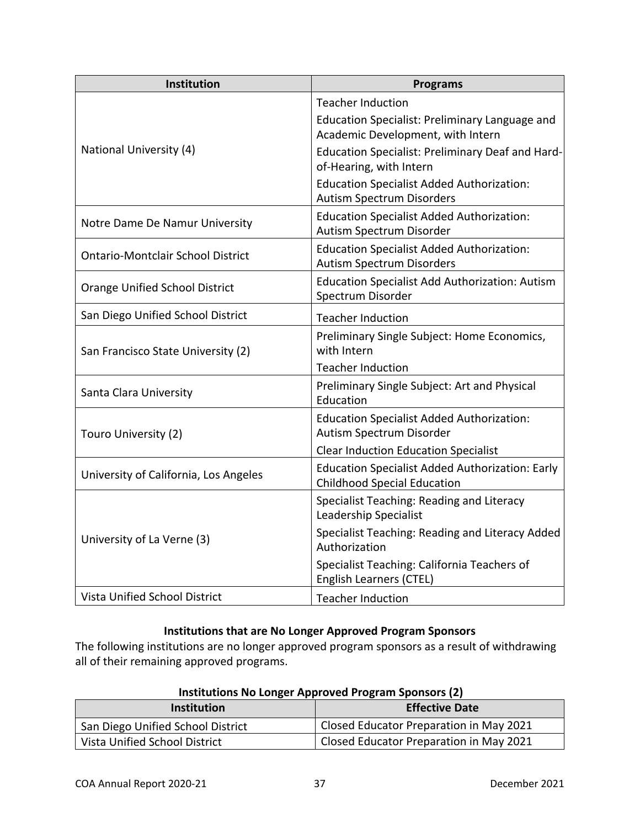| Institution                              | <b>Programs</b>                                                                              |
|------------------------------------------|----------------------------------------------------------------------------------------------|
|                                          | <b>Teacher Induction</b>                                                                     |
|                                          | Education Specialist: Preliminary Language and<br>Academic Development, with Intern          |
| National University (4)                  | <b>Education Specialist: Preliminary Deaf and Hard-</b><br>of-Hearing, with Intern           |
|                                          | <b>Education Specialist Added Authorization:</b><br><b>Autism Spectrum Disorders</b>         |
| Notre Dame De Namur University           | <b>Education Specialist Added Authorization:</b><br>Autism Spectrum Disorder                 |
| <b>Ontario-Montclair School District</b> | <b>Education Specialist Added Authorization:</b><br><b>Autism Spectrum Disorders</b>         |
| <b>Orange Unified School District</b>    | <b>Education Specialist Add Authorization: Autism</b><br>Spectrum Disorder                   |
| San Diego Unified School District        | <b>Teacher Induction</b>                                                                     |
| San Francisco State University (2)       | Preliminary Single Subject: Home Economics,<br>with Intern                                   |
|                                          | <b>Teacher Induction</b>                                                                     |
| Santa Clara University                   | Preliminary Single Subject: Art and Physical<br>Education                                    |
| Touro University (2)                     | <b>Education Specialist Added Authorization:</b><br>Autism Spectrum Disorder                 |
|                                          | <b>Clear Induction Education Specialist</b>                                                  |
| University of California, Los Angeles    | <b>Education Specialist Added Authorization: Early</b><br><b>Childhood Special Education</b> |
|                                          | Specialist Teaching: Reading and Literacy<br><b>Leadership Specialist</b>                    |
| University of La Verne (3)               | Specialist Teaching: Reading and Literacy Added<br>Authorization                             |
|                                          | Specialist Teaching: California Teachers of<br><b>English Learners (CTEL)</b>                |
| <b>Vista Unified School District</b>     | <b>Teacher Induction</b>                                                                     |

## **Institutions that are No Longer Approved Program Sponsors**

The following institutions are no longer approved program sponsors as a result of withdrawing all of their remaining approved programs.

<span id="page-36-0"></span>

| <b>Institution</b>                | <b>Effective Date</b>                   |
|-----------------------------------|-----------------------------------------|
| San Diego Unified School District | Closed Educator Preparation in May 2021 |
| Vista Unified School District     | Closed Educator Preparation in May 2021 |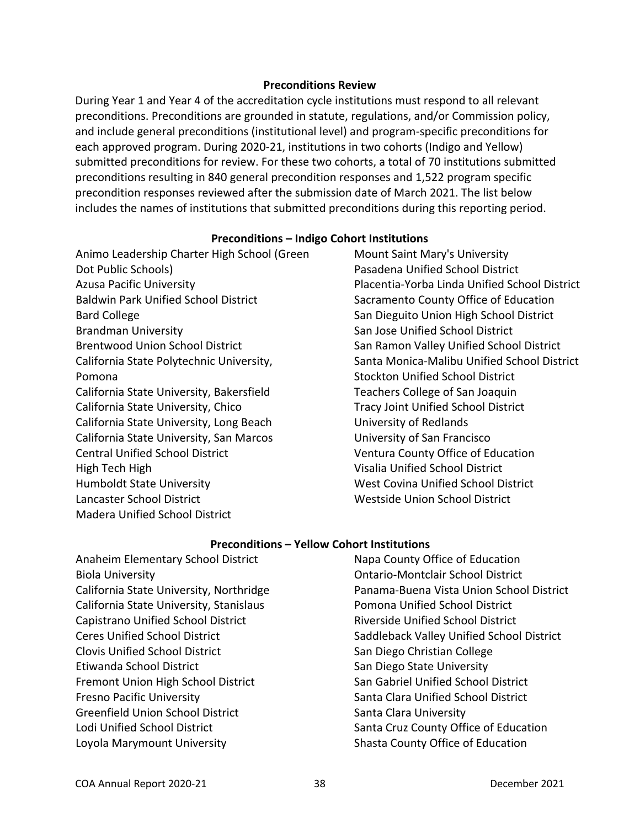#### **Preconditions Review**

<span id="page-37-0"></span>During Year 1 and Year 4 of the accreditation cycle institutions must respond to all relevant preconditions. Preconditions are grounded in statute, regulations, and/or Commission policy, and include general preconditions (institutional level) and program-specific preconditions for each approved program. During 2020-21, institutions in two cohorts (Indigo and Yellow) submitted preconditions for review. For these two cohorts, a total of 70 institutions submitted preconditions resulting in 840 general precondition responses and 1,522 program specific precondition responses reviewed after the submission date of March 2021. The list below includes the names of institutions that submitted preconditions during this reporting period.

#### **Preconditions – Indigo Cohort Institutions**

Animo Leadership Charter High School (Green Dot Public Schools) Azusa Pacific University Baldwin Park Unified School District Bard College Brandman University Brentwood Union School District California State Polytechnic University, Pomona California State University, Bakersfield California State University, Chico California State University, Long Beach California State University, San Marcos Central Unified School District High Tech High Humboldt State University Lancaster School District Madera Unified School District

Mount Saint Mary's University Pasadena Unified School District Placentia-Yorba Linda Unified School District Sacramento County Office of Education San Dieguito Union High School District San Jose Unified School District San Ramon Valley Unified School District Santa Monica-Malibu Unified School District Stockton Unified School District Teachers College of San Joaquin Tracy Joint Unified School District University of Redlands University of San Francisco Ventura County Office of Education Visalia Unified School District West Covina Unified School District Westside Union School District

## **Preconditions – Yellow Cohort Institutions**

Anaheim Elementary School District Biola University California State University, Northridge California State University, Stanislaus Capistrano Unified School District Ceres Unified School District Clovis Unified School District Etiwanda School District Fremont Union High School District Fresno Pacific University Greenfield Union School District Lodi Unified School District Loyola Marymount University

Napa County Office of Education Ontario-Montclair School District Panama-Buena Vista Union School District Pomona Unified School District Riverside Unified School District Saddleback Valley Unified School District San Diego Christian College San Diego State University San Gabriel Unified School District Santa Clara Unified School District Santa Clara University Santa Cruz County Office of Education Shasta County Office of Education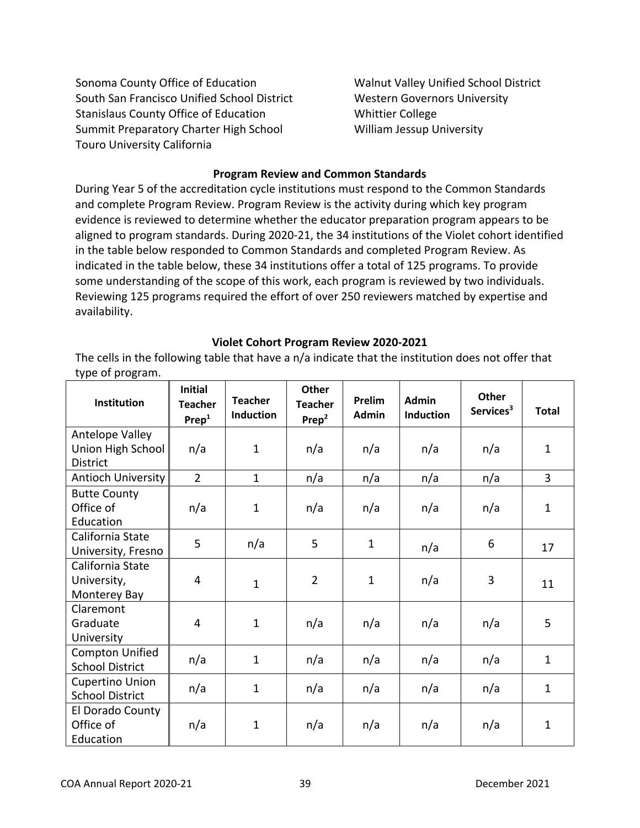Sonoma County Office of Education South San Francisco Unified School District Stanislaus County Office of Education Summit Preparatory Charter High School Touro University California

Walnut Valley Unified School District Western Governors University Whittier College William Jessup University

#### **Program Review and Common Standards**

<span id="page-38-0"></span>During Year 5 of the accreditation cycle institutions must respond to the Common Standards and complete Program Review. Program Review is the activity during which key program evidence is reviewed to determine whether the educator preparation program appears to be aligned to program standards. During 2020-21, the 34 institutions of the Violet cohort identified in the table below responded to Common Standards and completed Program Review. As indicated in the table below, these 34 institutions offer a total of 125 programs. To provide some understanding of the scope of this work, each program is reviewed by two individuals. Reviewing 125 programs required the effort of over 250 reviewers matched by expertise and availability.

#### **Violet Cohort Program Review 2020-2021**

<span id="page-38-1"></span>The cells in the following table that have a n/a indicate that the institution does not offer that type of program.

| <b>Institution</b>                                      | <b>Initial</b><br><b>Teacher</b><br>Prep <sup>1</sup> | <b>Teacher</b><br><b>Induction</b> | <b>Other</b><br><b>Teacher</b><br>Prep <sup>2</sup> | Prelim<br><b>Admin</b> | Admin<br><b>Induction</b> | <b>Other</b><br>Services <sup>3</sup> | <b>Total</b> |
|---------------------------------------------------------|-------------------------------------------------------|------------------------------------|-----------------------------------------------------|------------------------|---------------------------|---------------------------------------|--------------|
| Antelope Valley<br>Union High School<br><b>District</b> | n/a                                                   | $\mathbf{1}$                       | n/a                                                 | n/a                    | n/a                       | n/a                                   | $\mathbf{1}$ |
| <b>Antioch University</b>                               | $\overline{2}$                                        | $\mathbf{1}$                       | n/a                                                 | n/a                    | n/a                       | n/a                                   | 3            |
| <b>Butte County</b><br>Office of<br>Education           | n/a                                                   | $\mathbf{1}$                       | n/a                                                 | n/a                    | n/a                       | n/a                                   | $\mathbf{1}$ |
| California State<br>University, Fresno                  | 5                                                     | n/a                                | 5                                                   | $\mathbf{1}$           | n/a                       | 6                                     | 17           |
| California State<br>University,<br>Monterey Bay         | 4                                                     | $\mathbf{1}$                       | $\overline{2}$                                      | $\mathbf{1}$           | n/a                       | 3                                     | 11           |
| Claremont<br>Graduate<br>University                     | $\overline{4}$                                        | $\mathbf{1}$                       | n/a                                                 | n/a                    | n/a                       | n/a                                   | 5            |
| <b>Compton Unified</b><br><b>School District</b>        | n/a                                                   | $\mathbf{1}$                       | n/a                                                 | n/a                    | n/a                       | n/a                                   | $\mathbf{1}$ |
| <b>Cupertino Union</b><br><b>School District</b>        | n/a                                                   | $\mathbf{1}$                       | n/a                                                 | n/a                    | n/a                       | n/a                                   | $\mathbf{1}$ |
| El Dorado County<br>Office of<br>Education              | n/a                                                   | $\mathbf 1$                        | n/a                                                 | n/a                    | n/a                       | n/a                                   | 1            |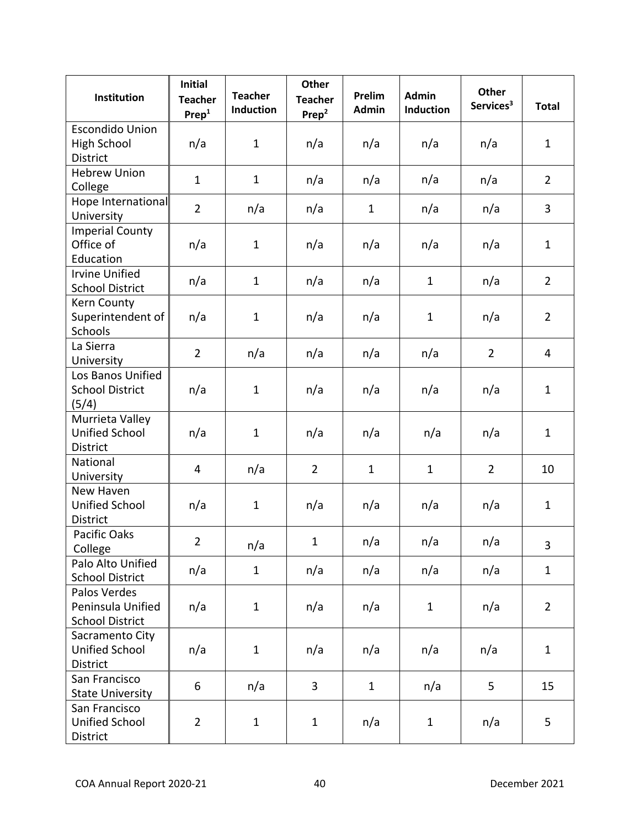| Institution                                                     | <b>Initial</b><br><b>Teacher</b><br>Prep <sup>1</sup> | <b>Teacher</b><br><b>Induction</b> | <b>Other</b><br><b>Teacher</b><br>Prep <sup>2</sup> | Prelim<br>Admin | <b>Admin</b><br><b>Induction</b> | <b>Other</b><br>Services <sup>3</sup> | <b>Total</b>   |
|-----------------------------------------------------------------|-------------------------------------------------------|------------------------------------|-----------------------------------------------------|-----------------|----------------------------------|---------------------------------------|----------------|
| <b>Escondido Union</b><br><b>High School</b><br><b>District</b> | n/a                                                   | $\mathbf{1}$                       | n/a                                                 | n/a             | n/a                              | n/a                                   | $\mathbf{1}$   |
| <b>Hebrew Union</b><br>College                                  | $\mathbf{1}$                                          | $\mathbf{1}$                       | n/a                                                 | n/a             | n/a                              | n/a                                   | $\overline{2}$ |
| Hope International<br>University                                | $\overline{2}$                                        | n/a                                | n/a                                                 | $\mathbf{1}$    | n/a                              | n/a                                   | 3              |
| <b>Imperial County</b><br>Office of<br>Education                | n/a                                                   | $\mathbf{1}$                       | n/a                                                 | n/a             | n/a                              | n/a                                   | $\mathbf{1}$   |
| <b>Irvine Unified</b><br><b>School District</b>                 | n/a                                                   | $\mathbf{1}$                       | n/a                                                 | n/a             | $\mathbf{1}$                     | n/a                                   | $\overline{2}$ |
| Kern County<br>Superintendent of<br>Schools                     | n/a                                                   | $\mathbf{1}$                       | n/a                                                 | n/a             | $\mathbf{1}$                     | n/a                                   | $\overline{2}$ |
| La Sierra<br>University                                         | $\overline{2}$                                        | n/a                                | n/a                                                 | n/a             | n/a                              | $\overline{2}$                        | 4              |
| Los Banos Unified<br><b>School District</b><br>(5/4)            | n/a                                                   | $\mathbf{1}$                       | n/a                                                 | n/a             | n/a                              | n/a                                   | $\mathbf{1}$   |
| Murrieta Valley<br><b>Unified School</b><br>District            | n/a                                                   | $\mathbf{1}$                       | n/a                                                 | n/a             | n/a                              | n/a                                   | $\mathbf{1}$   |
| National<br>University                                          | 4                                                     | n/a                                | $\overline{2}$                                      | $\mathbf{1}$    | $\mathbf{1}$                     | $\overline{2}$                        | 10             |
| New Haven<br><b>Unified School</b><br><b>District</b>           | n/a                                                   | $\mathbf{1}$                       | n/a                                                 | n/a             | n/a                              | n/a                                   | $\mathbf{1}$   |
| Pacific Oaks<br>College                                         | $\overline{2}$                                        | n/a                                | $\mathbf{1}$                                        | n/a             | n/a                              | n/a                                   | 3              |
| Palo Alto Unified<br><b>School District</b>                     | n/a                                                   | $\mathbf{1}$                       | n/a                                                 | n/a             | n/a                              | n/a                                   | $\mathbf{1}$   |
| Palos Verdes<br>Peninsula Unified<br><b>School District</b>     | n/a                                                   | $\mathbf{1}$                       | n/a                                                 | n/a             | $\mathbf{1}$                     | n/a                                   | $\overline{2}$ |
| Sacramento City<br><b>Unified School</b><br>District            | n/a                                                   | $\mathbf{1}$                       | n/a                                                 | n/a             | n/a                              | n/a                                   | $\mathbf{1}$   |
| San Francisco<br><b>State University</b>                        | 6                                                     | n/a                                | 3                                                   | $\mathbf{1}$    | n/a                              | 5                                     | 15             |
| San Francisco<br><b>Unified School</b><br>District              | $\overline{2}$                                        | $\mathbf{1}$                       | $\mathbf{1}$                                        | n/a             | $\mathbf{1}$                     | n/a                                   | 5              |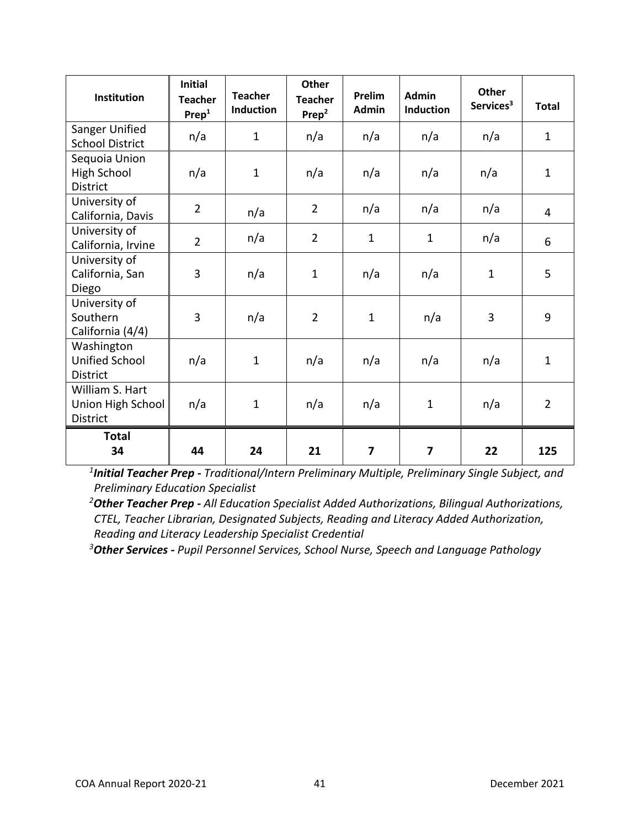| Institution                                             | <b>Initial</b><br><b>Teacher</b><br>Prep <sup>1</sup> | <b>Teacher</b><br><b>Induction</b> | <b>Other</b><br><b>Teacher</b><br>Prep <sup>2</sup> | Prelim<br><b>Admin</b> | <b>Admin</b><br><b>Induction</b> | <b>Other</b><br>Services <sup>3</sup> | <b>Total</b>   |
|---------------------------------------------------------|-------------------------------------------------------|------------------------------------|-----------------------------------------------------|------------------------|----------------------------------|---------------------------------------|----------------|
| Sanger Unified<br><b>School District</b>                | n/a                                                   | $\mathbf{1}$                       | n/a                                                 | n/a                    | n/a                              | n/a                                   | $\mathbf{1}$   |
| Sequoia Union<br><b>High School</b><br><b>District</b>  | n/a                                                   | $\mathbf{1}$                       | n/a                                                 | n/a                    | n/a                              | n/a                                   | $\mathbf{1}$   |
| University of<br>California, Davis                      | $\overline{2}$                                        | n/a                                | $\overline{2}$                                      | n/a                    | n/a                              | n/a                                   | $\overline{4}$ |
| University of<br>California, Irvine                     | $\overline{2}$                                        | n/a                                | $\overline{2}$                                      | $\mathbf{1}$           | $\mathbf{1}$                     | n/a                                   | 6              |
| University of<br>California, San<br>Diego               | 3                                                     | n/a                                | $\mathbf{1}$                                        | n/a                    | n/a                              | $\mathbf{1}$                          | 5              |
| University of<br>Southern<br>California (4/4)           | 3                                                     | n/a                                | $\overline{2}$                                      | $\mathbf{1}$           | n/a                              | 3                                     | 9              |
| Washington<br><b>Unified School</b><br><b>District</b>  | n/a                                                   | $\mathbf{1}$                       | n/a                                                 | n/a                    | n/a                              | n/a                                   | $\mathbf{1}$   |
| William S. Hart<br>Union High School<br><b>District</b> | n/a                                                   | $\mathbf 1$                        | n/a                                                 | n/a                    | $\mathbf{1}$                     | n/a                                   | $\overline{2}$ |
| <b>Total</b><br>34                                      | 44                                                    | 24                                 | 21                                                  | 7                      | 7                                | 22                                    | 125            |

*1 Initial Teacher Prep - Traditional/Intern Preliminary Multiple, Preliminary Single Subject, and Preliminary Education Specialist*

*<sup>2</sup>Other Teacher Prep - All Education Specialist Added Authorizations, Bilingual Authorizations, CTEL, Teacher Librarian, Designated Subjects, Reading and Literacy Added Authorization, Reading and Literacy Leadership Specialist Credential*

*<sup>3</sup>Other Services - Pupil Personnel Services, School Nurse, Speech and Language Pathology*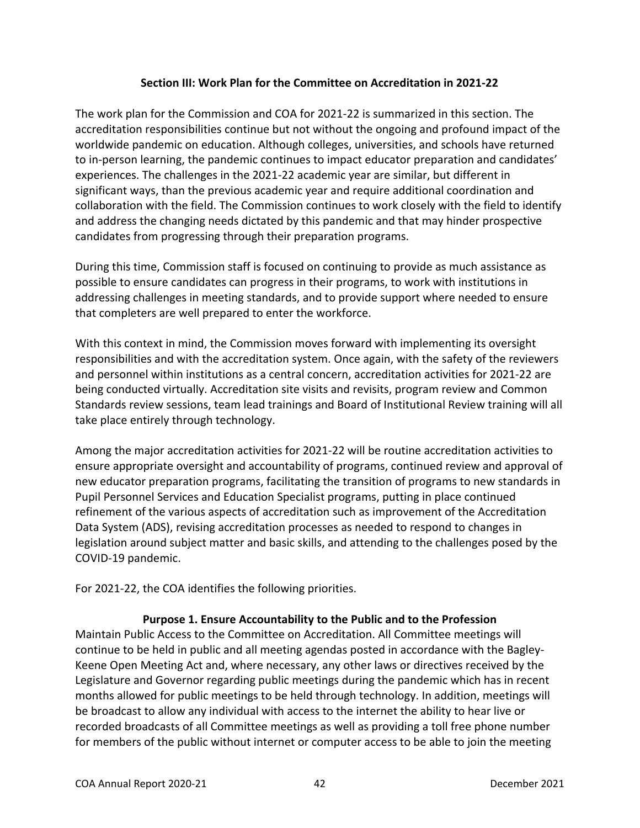## **Section III: Work Plan for the Committee on Accreditation in 2021-22**

<span id="page-41-0"></span>The work plan for the Commission and COA for 2021-22 is summarized in this section. The accreditation responsibilities continue but not without the ongoing and profound impact of the worldwide pandemic on education. Although colleges, universities, and schools have returned to in-person learning, the pandemic continues to impact educator preparation and candidates' experiences. The challenges in the 2021-22 academic year are similar, but different in significant ways, than the previous academic year and require additional coordination and collaboration with the field. The Commission continues to work closely with the field to identify and address the changing needs dictated by this pandemic and that may hinder prospective candidates from progressing through their preparation programs.

During this time, Commission staff is focused on continuing to provide as much assistance as possible to ensure candidates can progress in their programs, to work with institutions in addressing challenges in meeting standards, and to provide support where needed to ensure that completers are well prepared to enter the workforce.

With this context in mind, the Commission moves forward with implementing its oversight responsibilities and with the accreditation system. Once again, with the safety of the reviewers and personnel within institutions as a central concern, accreditation activities for 2021-22 are being conducted virtually. Accreditation site visits and revisits, program review and Common Standards review sessions, team lead trainings and Board of Institutional Review training will all take place entirely through technology.

Among the major accreditation activities for 2021-22 will be routine accreditation activities to ensure appropriate oversight and accountability of programs, continued review and approval of new educator preparation programs, facilitating the transition of programs to new standards in Pupil Personnel Services and Education Specialist programs, putting in place continued refinement of the various aspects of accreditation such as improvement of the Accreditation Data System (ADS), revising accreditation processes as needed to respond to changes in legislation around subject matter and basic skills, and attending to the challenges posed by the COVID-19 pandemic.

For 2021-22, the COA identifies the following priorities.

## **Purpose 1. Ensure Accountability to the Public and to the Profession**

<span id="page-41-1"></span>Maintain Public Access to the Committee on Accreditation. All Committee meetings will continue to be held in public and all meeting agendas posted in accordance with the Bagley-Keene Open Meeting Act and, where necessary, any other laws or directives received by the Legislature and Governor regarding public meetings during the pandemic which has in recent months allowed for public meetings to be held through technology. In addition, meetings will be broadcast to allow any individual with access to the internet the ability to hear live or recorded broadcasts of all Committee meetings as well as providing a toll free phone number for members of the public without internet or computer access to be able to join the meeting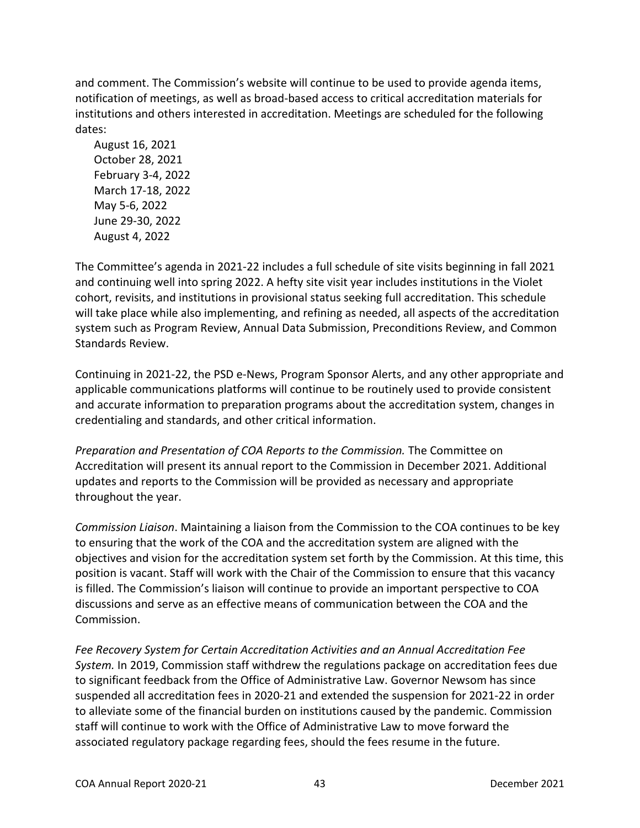and comment. The Commission's website will continue to be used to provide agenda items, notification of meetings, as well as broad-based access to critical accreditation materials for institutions and others interested in accreditation. Meetings are scheduled for the following dates:

August 16, 2021 October 28, 2021 February 3-4, 2022 March 17-18, 2022 May 5-6, 2022 June 29-30, 2022 August 4, 2022

The Committee's agenda in 2021-22 includes a full schedule of site visits beginning in fall 2021 and continuing well into spring 2022. A hefty site visit year includes institutions in the Violet cohort, revisits, and institutions in provisional status seeking full accreditation. This schedule will take place while also implementing, and refining as needed, all aspects of the accreditation system such as Program Review, Annual Data Submission, Preconditions Review, and Common Standards Review.

Continuing in 2021-22, the PSD e-News, Program Sponsor Alerts, and any other appropriate and applicable communications platforms will continue to be routinely used to provide consistent and accurate information to preparation programs about the accreditation system, changes in credentialing and standards, and other critical information.

*Preparation and Presentation of COA Reports to the Commission.* The Committee on Accreditation will present its annual report to the Commission in December 2021. Additional updates and reports to the Commission will be provided as necessary and appropriate throughout the year.

*Commission Liaison*. Maintaining a liaison from the Commission to the COA continues to be key to ensuring that the work of the COA and the accreditation system are aligned with the objectives and vision for the accreditation system set forth by the Commission. At this time, this position is vacant. Staff will work with the Chair of the Commission to ensure that this vacancy is filled. The Commission's liaison will continue to provide an important perspective to COA discussions and serve as an effective means of communication between the COA and the Commission.

*Fee Recovery System for Certain Accreditation Activities and an Annual Accreditation Fee System.* In 2019, Commission staff withdrew the regulations package on accreditation fees due to significant feedback from the Office of Administrative Law. Governor Newsom has since suspended all accreditation fees in 2020-21 and extended the suspension for 2021-22 in order to alleviate some of the financial burden on institutions caused by the pandemic. Commission staff will continue to work with the Office of Administrative Law to move forward the associated regulatory package regarding fees, should the fees resume in the future.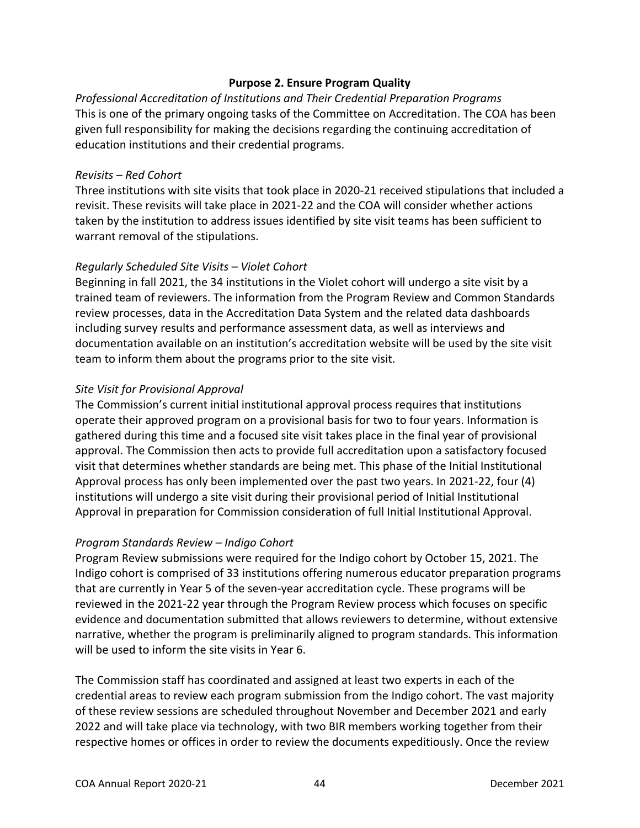#### **Purpose 2. Ensure Program Quality**

<span id="page-43-0"></span>*Professional Accreditation of Institutions and Their Credential Preparation Programs*  This is one of the primary ongoing tasks of the Committee on Accreditation. The COA has been given full responsibility for making the decisions regarding the continuing accreditation of education institutions and their credential programs.

#### *Revisits – Red Cohort*

Three institutions with site visits that took place in 2020-21 received stipulations that included a revisit. These revisits will take place in 2021-22 and the COA will consider whether actions taken by the institution to address issues identified by site visit teams has been sufficient to warrant removal of the stipulations.

#### *Regularly Scheduled Site Visits – Violet Cohort*

Beginning in fall 2021, the 34 institutions in the Violet cohort will undergo a site visit by a trained team of reviewers. The information from the Program Review and Common Standards review processes, data in the Accreditation Data System and the related data dashboards including survey results and performance assessment data, as well as interviews and documentation available on an institution's accreditation website will be used by the site visit team to inform them about the programs prior to the site visit.

#### *Site Visit for Provisional Approval*

The Commission's current initial institutional approval process requires that institutions operate their approved program on a provisional basis for two to four years. Information is gathered during this time and a focused site visit takes place in the final year of provisional approval. The Commission then acts to provide full accreditation upon a satisfactory focused visit that determines whether standards are being met. This phase of the Initial Institutional Approval process has only been implemented over the past two years. In 2021-22, four (4) institutions will undergo a site visit during their provisional period of Initial Institutional Approval in preparation for Commission consideration of full Initial Institutional Approval.

#### *Program Standards Review – Indigo Cohort*

Program Review submissions were required for the Indigo cohort by October 15, 2021. The Indigo cohort is comprised of 33 institutions offering numerous educator preparation programs that are currently in Year 5 of the seven-year accreditation cycle. These programs will be reviewed in the 2021-22 year through the Program Review process which focuses on specific evidence and documentation submitted that allows reviewers to determine, without extensive narrative, whether the program is preliminarily aligned to program standards. This information will be used to inform the site visits in Year 6.

The Commission staff has coordinated and assigned at least two experts in each of the credential areas to review each program submission from the Indigo cohort. The vast majority of these review sessions are scheduled throughout November and December 2021 and early 2022 and will take place via technology, with two BIR members working together from their respective homes or offices in order to review the documents expeditiously. Once the review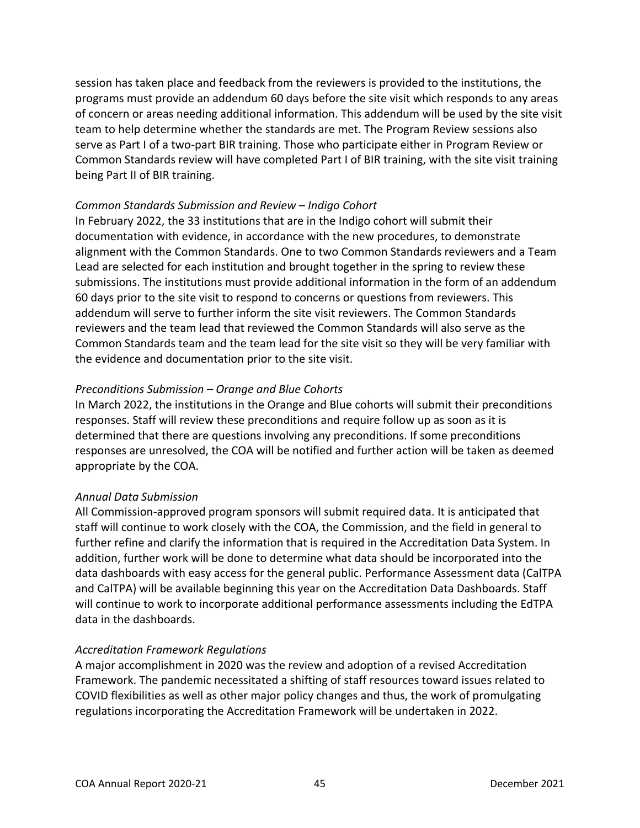session has taken place and feedback from the reviewers is provided to the institutions, the programs must provide an addendum 60 days before the site visit which responds to any areas of concern or areas needing additional information. This addendum will be used by the site visit team to help determine whether the standards are met. The Program Review sessions also serve as Part I of a two-part BIR training. Those who participate either in Program Review or Common Standards review will have completed Part I of BIR training, with the site visit training being Part II of BIR training.

#### *Common Standards Submission and Review – Indigo Cohort*

In February 2022, the 33 institutions that are in the Indigo cohort will submit their documentation with evidence, in accordance with the new procedures, to demonstrate alignment with the Common Standards. One to two Common Standards reviewers and a Team Lead are selected for each institution and brought together in the spring to review these submissions. The institutions must provide additional information in the form of an addendum 60 days prior to the site visit to respond to concerns or questions from reviewers. This addendum will serve to further inform the site visit reviewers. The Common Standards reviewers and the team lead that reviewed the Common Standards will also serve as the Common Standards team and the team lead for the site visit so they will be very familiar with the evidence and documentation prior to the site visit.

### *Preconditions Submission – Orange and Blue Cohorts*

In March 2022, the institutions in the Orange and Blue cohorts will submit their preconditions responses. Staff will review these preconditions and require follow up as soon as it is determined that there are questions involving any preconditions. If some preconditions responses are unresolved, the COA will be notified and further action will be taken as deemed appropriate by the COA.

## *Annual Data Submission*

All Commission-approved program sponsors will submit required data. It is anticipated that staff will continue to work closely with the COA, the Commission, and the field in general to further refine and clarify the information that is required in the Accreditation Data System. In addition, further work will be done to determine what data should be incorporated into the data dashboards with easy access for the general public. Performance Assessment data (CalTPA and CalTPA) will be available beginning this year on the Accreditation Data Dashboards. Staff will continue to work to incorporate additional performance assessments including the EdTPA data in the dashboards.

## *Accreditation Framework Regulations*

A major accomplishment in 2020 was the review and adoption of a revised Accreditation Framework. The pandemic necessitated a shifting of staff resources toward issues related to COVID flexibilities as well as other major policy changes and thus, the work of promulgating regulations incorporating the Accreditation Framework will be undertaken in 2022.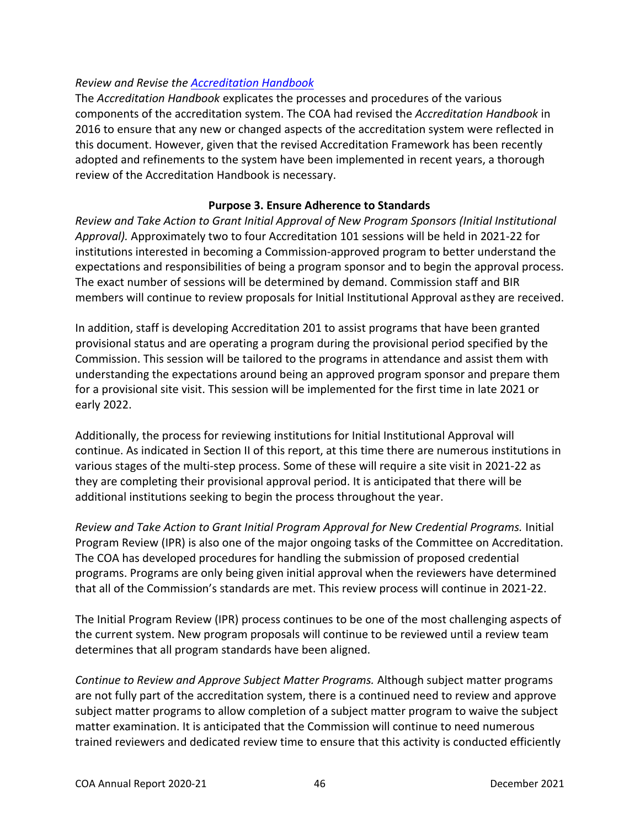## *Review and Revise the [Accreditation Handbook](https://www.ctc.ca.gov/educator-prep/accred-handbook)*

The *Accreditation Handbook* explicates the processes and procedures of the various components of the accreditation system. The COA had revised the *Accreditation Handbook* in 2016 to ensure that any new or changed aspects of the accreditation system were reflected in this document. However, given that the revised Accreditation Framework has been recently adopted and refinements to the system have been implemented in recent years, a thorough review of the Accreditation Handbook is necessary.

### **Purpose 3. Ensure Adherence to Standards**

<span id="page-45-0"></span>*Review and Take Action to Grant Initial Approval of New Program Sponsors (Initial Institutional Approval).* Approximately two to four Accreditation 101 sessions will be held in 2021-22 for institutions interested in becoming a Commission-approved program to better understand the expectations and responsibilities of being a program sponsor and to begin the approval process. The exact number of sessions will be determined by demand. Commission staff and BIR members will continue to review proposals for Initial Institutional Approval asthey are received.

In addition, staff is developing Accreditation 201 to assist programs that have been granted provisional status and are operating a program during the provisional period specified by the Commission. This session will be tailored to the programs in attendance and assist them with understanding the expectations around being an approved program sponsor and prepare them for a provisional site visit. This session will be implemented for the first time in late 2021 or early 2022.

Additionally, the process for reviewing institutions for Initial Institutional Approval will continue. As indicated in Section II of this report, at this time there are numerous institutions in various stages of the multi-step process. Some of these will require a site visit in 2021-22 as they are completing their provisional approval period. It is anticipated that there will be additional institutions seeking to begin the process throughout the year.

*Review and Take Action to Grant Initial Program Approval for New Credential Programs.* Initial Program Review (IPR) is also one of the major ongoing tasks of the Committee on Accreditation. The COA has developed procedures for handling the submission of proposed credential programs. Programs are only being given initial approval when the reviewers have determined that all of the Commission's standards are met. This review process will continue in 2021-22.

The Initial Program Review (IPR) process continues to be one of the most challenging aspects of the current system. New program proposals will continue to be reviewed until a review team determines that all program standards have been aligned.

*Continue to Review and Approve Subject Matter Programs.* Although subject matter programs are not fully part of the accreditation system, there is a continued need to review and approve subject matter programs to allow completion of a subject matter program to waive the subject matter examination. It is anticipated that the Commission will continue to need numerous trained reviewers and dedicated review time to ensure that this activity is conducted efficiently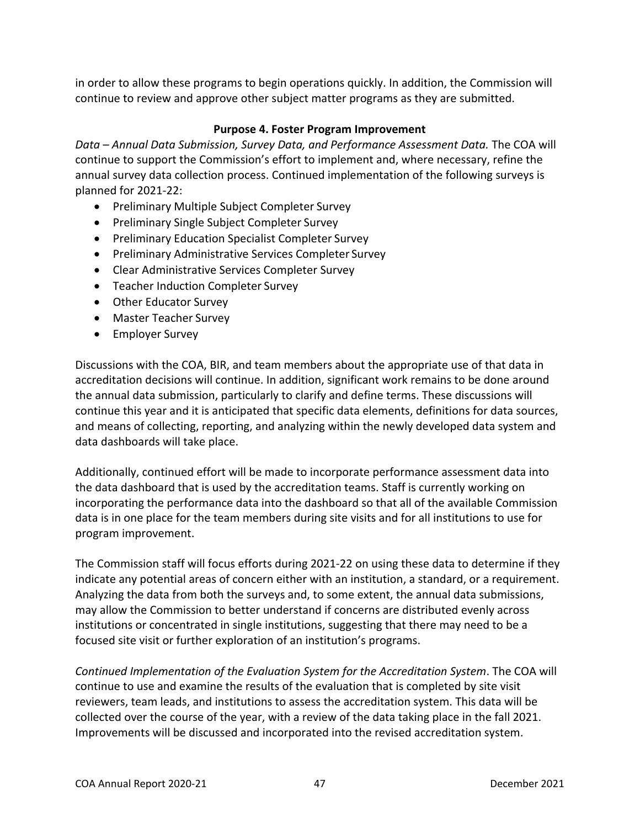in order to allow these programs to begin operations quickly. In addition, the Commission will continue to review and approve other subject matter programs as they are submitted.

### **Purpose 4. Foster Program Improvement**

<span id="page-46-0"></span>*Data – Annual Data Submission, Survey Data, and Performance Assessment Data.* The COA will continue to support the Commission's effort to implement and, where necessary, refine the annual survey data collection process. Continued implementation of the following surveys is planned for 2021-22:

- Preliminary Multiple Subject Completer Survey
- Preliminary Single Subject Completer Survey
- Preliminary Education Specialist Completer Survey
- Preliminary Administrative Services Completer Survey
- Clear Administrative Services Completer Survey
- Teacher Induction Completer Survey
- Other Educator Survey
- Master Teacher Survey
- Employer Survey

Discussions with the COA, BIR, and team members about the appropriate use of that data in accreditation decisions will continue. In addition, significant work remains to be done around the annual data submission, particularly to clarify and define terms. These discussions will continue this year and it is anticipated that specific data elements, definitions for data sources, and means of collecting, reporting, and analyzing within the newly developed data system and data dashboards will take place.

Additionally, continued effort will be made to incorporate performance assessment data into the data dashboard that is used by the accreditation teams. Staff is currently working on incorporating the performance data into the dashboard so that all of the available Commission data is in one place for the team members during site visits and for all institutions to use for program improvement.

The Commission staff will focus efforts during 2021-22 on using these data to determine if they indicate any potential areas of concern either with an institution, a standard, or a requirement. Analyzing the data from both the surveys and, to some extent, the annual data submissions, may allow the Commission to better understand if concerns are distributed evenly across institutions or concentrated in single institutions, suggesting that there may need to be a focused site visit or further exploration of an institution's programs.

*Continued Implementation of the Evaluation System for the Accreditation System*. The COA will continue to use and examine the results of the evaluation that is completed by site visit reviewers, team leads, and institutions to assess the accreditation system. This data will be collected over the course of the year, with a review of the data taking place in the fall 2021. Improvements will be discussed and incorporated into the revised accreditation system.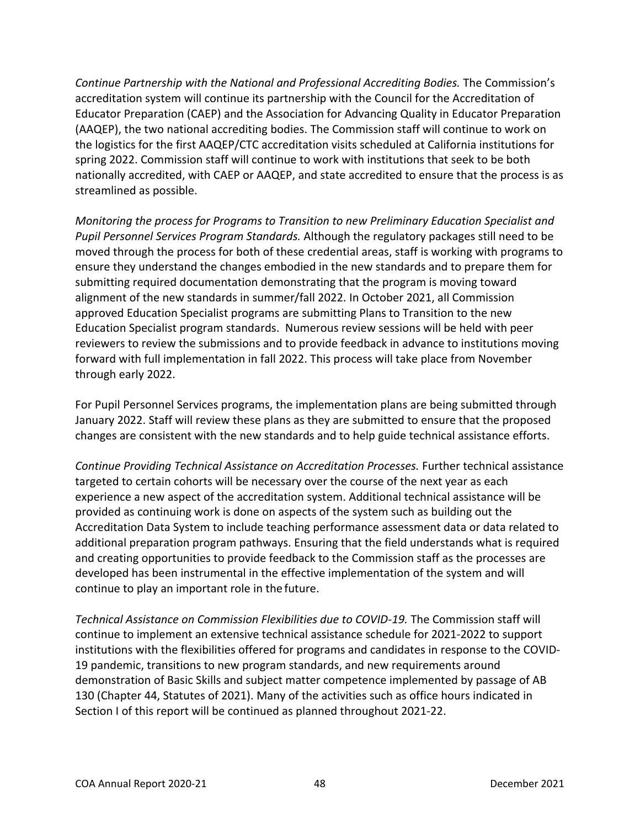*Continue Partnership with the National and Professional Accrediting Bodies.* The Commission's accreditation system will continue its partnership with the Council for the Accreditation of Educator Preparation (CAEP) and the Association for Advancing Quality in Educator Preparation (AAQEP), the two national accrediting bodies. The Commission staff will continue to work on the logistics for the first AAQEP/CTC accreditation visits scheduled at California institutions for spring 2022. Commission staff will continue to work with institutions that seek to be both nationally accredited, with CAEP or AAQEP, and state accredited to ensure that the process is as streamlined as possible.

*Monitoring the process for Programs to Transition to new Preliminary Education Specialist and Pupil Personnel Services Program Standards.* Although the regulatory packages still need to be moved through the process for both of these credential areas, staff is working with programs to ensure they understand the changes embodied in the new standards and to prepare them for submitting required documentation demonstrating that the program is moving toward alignment of the new standards in summer/fall 2022. In October 2021, all Commission approved Education Specialist programs are submitting Plans to Transition to the new Education Specialist program standards. Numerous review sessions will be held with peer reviewers to review the submissions and to provide feedback in advance to institutions moving forward with full implementation in fall 2022. This process will take place from November through early 2022.

For Pupil Personnel Services programs, the implementation plans are being submitted through January 2022. Staff will review these plans as they are submitted to ensure that the proposed changes are consistent with the new standards and to help guide technical assistance efforts.

*Continue Providing Technical Assistance on Accreditation Processes.* Further technical assistance targeted to certain cohorts will be necessary over the course of the next year as each experience a new aspect of the accreditation system. Additional technical assistance will be provided as continuing work is done on aspects of the system such as building out the Accreditation Data System to include teaching performance assessment data or data related to additional preparation program pathways. Ensuring that the field understands what is required and creating opportunities to provide feedback to the Commission staff as the processes are developed has been instrumental in the effective implementation of the system and will continue to play an important role in the future.

*Technical Assistance on Commission Flexibilities due to COVID-19.* The Commission staff will continue to implement an extensive technical assistance schedule for 2021-2022 to support institutions with the flexibilities offered for programs and candidates in response to the COVID-19 pandemic, transitions to new program standards, and new requirements around demonstration of Basic Skills and subject matter competence implemented by passage of AB 130 (Chapter 44, Statutes of 2021). Many of the activities such as office hours indicated in Section I of this report will be continued as planned throughout 2021-22.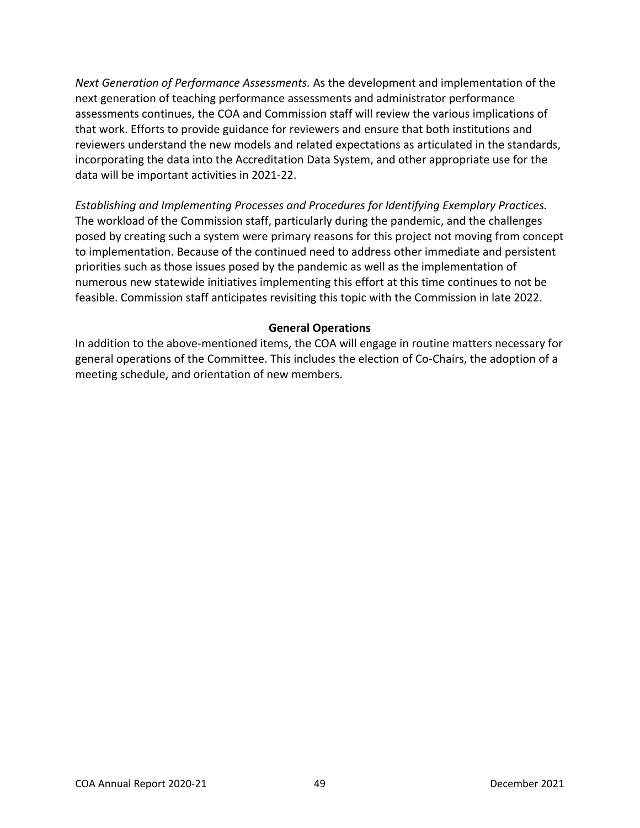*Next Generation of Performance Assessments.* As the development and implementation of the next generation of teaching performance assessments and administrator performance assessments continues, the COA and Commission staff will review the various implications of that work. Efforts to provide guidance for reviewers and ensure that both institutions and reviewers understand the new models and related expectations as articulated in the standards, incorporating the data into the Accreditation Data System, and other appropriate use for the data will be important activities in 2021-22.

*Establishing and Implementing Processes and Procedures for Identifying Exemplary Practices.*  The workload of the Commission staff, particularly during the pandemic, and the challenges posed by creating such a system were primary reasons for this project not moving from concept to implementation. Because of the continued need to address other immediate and persistent priorities such as those issues posed by the pandemic as well as the implementation of numerous new statewide initiatives implementing this effort at this time continues to not be feasible. Commission staff anticipates revisiting this topic with the Commission in late 2022.

### **General Operations**

<span id="page-48-0"></span>In addition to the above-mentioned items, the COA will engage in routine matters necessary for general operations of the Committee. This includes the election of Co-Chairs, the adoption of a meeting schedule, and orientation of new members.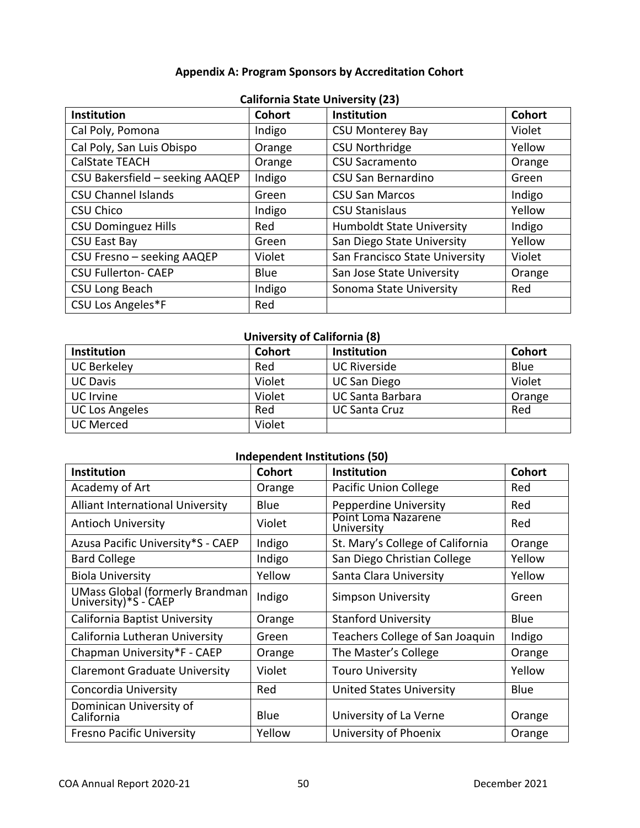## **Appendix A: Program Sponsors by Accreditation Cohort**

<span id="page-49-0"></span>

| <b>Institution</b>              | <b>Cohort</b> | <b>Institution</b>               | <b>Cohort</b> |
|---------------------------------|---------------|----------------------------------|---------------|
| Cal Poly, Pomona                | Indigo        | <b>CSU Monterey Bay</b>          | Violet        |
| Cal Poly, San Luis Obispo       | Orange        | <b>CSU Northridge</b>            | Yellow        |
| <b>CalState TEACH</b>           | Orange        | <b>CSU Sacramento</b>            | Orange        |
| CSU Bakersfield - seeking AAQEP | Indigo        | CSU San Bernardino               | Green         |
| <b>CSU Channel Islands</b>      | Green         | <b>CSU San Marcos</b>            | Indigo        |
| <b>CSU Chico</b>                | Indigo        | <b>CSU Stanislaus</b>            | Yellow        |
| <b>CSU Dominguez Hills</b>      | Red           | <b>Humboldt State University</b> | Indigo        |
| <b>CSU East Bay</b>             | Green         | San Diego State University       | Yellow        |
| CSU Fresno - seeking AAQEP      | Violet        | San Francisco State University   | Violet        |
| <b>CSU Fullerton- CAEP</b>      | Blue          | San Jose State University        | Orange        |
| CSU Long Beach                  | Indigo        | Sonoma State University          | Red           |
| CSU Los Angeles*F               | Red           |                                  |               |

### **California State University (23)**

## **University of California (8)**

| Institution           | <b>Cohort</b> | Institution             | <b>Cohort</b> |
|-----------------------|---------------|-------------------------|---------------|
| <b>UC Berkeley</b>    | Red           | <b>UC Riverside</b>     | Blue          |
| <b>UC Davis</b>       | Violet        | <b>UC San Diego</b>     | Violet        |
| <b>UC</b> Irvine      | Violet        | <b>UC Santa Barbara</b> | Orange        |
| <b>UC Los Angeles</b> | Red           | <b>UC Santa Cruz</b>    | Red           |
| <b>UC Merced</b>      | Violet        |                         |               |

### **Independent Institutions (50)**

| <b>Institution</b>                                      | <b>Cohort</b> | <b>Institution</b>                | <b>Cohort</b> |
|---------------------------------------------------------|---------------|-----------------------------------|---------------|
| Academy of Art                                          | Orange        | <b>Pacific Union College</b>      | Red           |
| <b>Alliant International University</b>                 | Blue          | <b>Pepperdine University</b>      | Red           |
| <b>Antioch University</b>                               | Violet        | Point Loma Nazarene<br>University | Red           |
| Azusa Pacific University*S - CAEP                       | Indigo        | St. Mary's College of California  | Orange        |
| <b>Bard College</b>                                     | Indigo        | San Diego Christian College       | Yellow        |
| <b>Biola University</b>                                 | Yellow        | Santa Clara University            | Yellow        |
| UMass Global (formerly Brandman<br>University)*S - CAEP | Indigo        | <b>Simpson University</b>         | Green         |
| California Baptist University                           | Orange        | <b>Stanford University</b>        | Blue          |
| California Lutheran University                          | Green         | Teachers College of San Joaquin   | Indigo        |
| Chapman University*F - CAEP                             | Orange        | The Master's College              | Orange        |
| <b>Claremont Graduate University</b>                    | Violet        | <b>Touro University</b>           | Yellow        |
| Concordia University                                    | Red           | <b>United States University</b>   | <b>Blue</b>   |
| Dominican University of<br>California                   | Blue          | University of La Verne            | Orange        |
| <b>Fresno Pacific University</b>                        | Yellow        | University of Phoenix             | Orange        |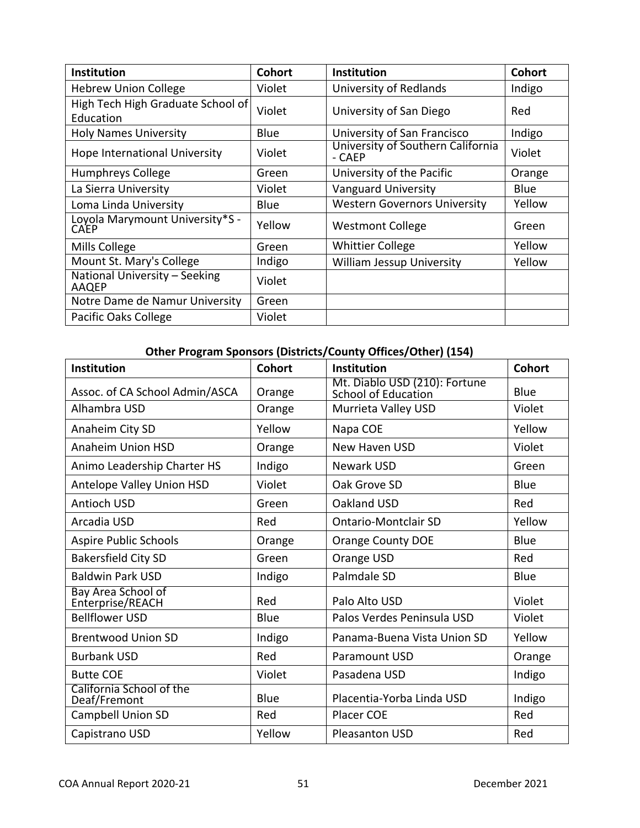| <b>Institution</b>                             | <b>Cohort</b> | Institution                                 | <b>Cohort</b> |
|------------------------------------------------|---------------|---------------------------------------------|---------------|
| <b>Hebrew Union College</b>                    | Violet        | University of Redlands                      | Indigo        |
| High Tech High Graduate School of<br>Education | Violet        | University of San Diego                     | Red           |
| <b>Holy Names University</b>                   | Blue          | University of San Francisco                 | Indigo        |
| Hope International University                  | Violet        | University of Southern California<br>- CAEP | Violet        |
| <b>Humphreys College</b>                       | Green         | University of the Pacific                   | Orange        |
| La Sierra University                           | Violet        | <b>Vanguard University</b>                  | <b>Blue</b>   |
| Loma Linda University                          | Blue          | <b>Western Governors University</b>         | Yellow        |
| Loyola Marymount University*S -<br>CAEP        | Yellow        | <b>Westmont College</b>                     | Green         |
| Mills College                                  | Green         | <b>Whittier College</b>                     | Yellow        |
| Mount St. Mary's College                       | Indigo        | <b>William Jessup University</b>            | Yellow        |
| National University - Seeking<br>AAQEP         | Violet        |                                             |               |
| Notre Dame de Namur University                 | Green         |                                             |               |
| Pacific Oaks College                           | Violet        |                                             |               |

# **Other Program Sponsors (Districts/County Offices/Other) (154)**

| Institution                              | <b>Cohort</b> | Institution                                          | <b>Cohort</b> |
|------------------------------------------|---------------|------------------------------------------------------|---------------|
| Assoc. of CA School Admin/ASCA           | Orange        | Mt. Diablo USD (210): Fortune<br>School of Education | Blue          |
| Alhambra USD                             | Orange        | Murrieta Valley USD                                  | Violet        |
| Anaheim City SD                          | Yellow        | Napa COE                                             | Yellow        |
| <b>Anaheim Union HSD</b>                 | Orange        | <b>New Haven USD</b>                                 | Violet        |
| Animo Leadership Charter HS              | Indigo        | <b>Newark USD</b>                                    | Green         |
| Antelope Valley Union HSD                | Violet        | Oak Grove SD                                         | Blue          |
| Antioch USD                              | Green         | Oakland USD                                          | Red           |
| Arcadia USD                              | Red           | <b>Ontario-Montclair SD</b>                          | Yellow        |
| Aspire Public Schools                    | Orange        | <b>Orange County DOE</b>                             | Blue          |
| <b>Bakersfield City SD</b>               | Green         | Orange USD                                           | Red           |
| <b>Baldwin Park USD</b>                  | Indigo        | Palmdale SD                                          | Blue          |
| Bay Area School of<br>Enterprise/REACH   | Red           | Palo Alto USD                                        | Violet        |
| <b>Bellflower USD</b>                    | Blue          | Palos Verdes Peninsula USD                           | Violet        |
| <b>Brentwood Union SD</b>                | Indigo        | Panama-Buena Vista Union SD                          | Yellow        |
| <b>Burbank USD</b>                       | Red           | <b>Paramount USD</b>                                 | Orange        |
| <b>Butte COE</b>                         | Violet        | Pasadena USD                                         | Indigo        |
| California School of the<br>Deaf/Fremont | Blue          | Placentia-Yorba Linda USD                            | Indigo        |
| Campbell Union SD                        | Red           | Placer COE                                           | Red           |
| Capistrano USD                           | Yellow        | <b>Pleasanton USD</b>                                | Red           |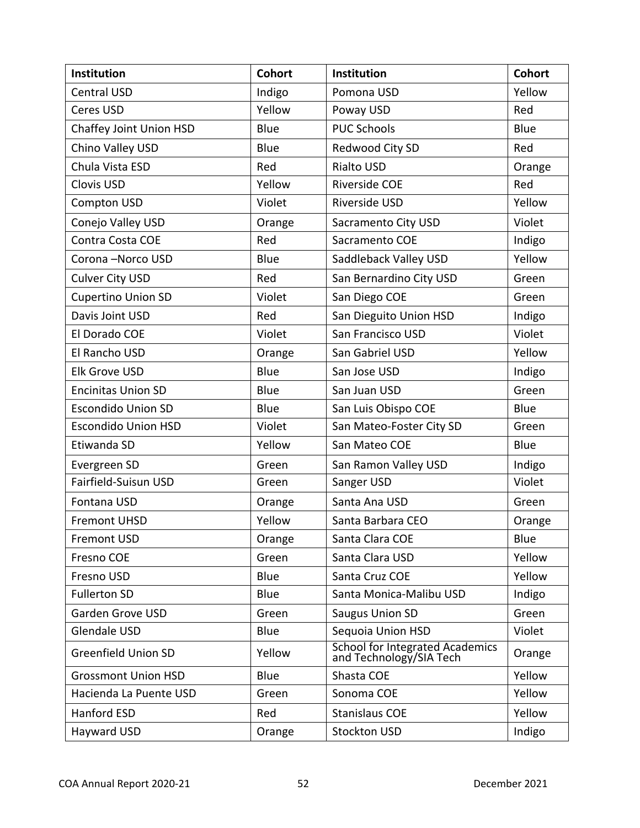| Institution                | <b>Cohort</b> | Institution                                                | <b>Cohort</b> |
|----------------------------|---------------|------------------------------------------------------------|---------------|
| <b>Central USD</b>         | Indigo        | Pomona USD                                                 | Yellow        |
| Ceres USD                  | Yellow        | Poway USD                                                  | Red           |
| Chaffey Joint Union HSD    | Blue          | <b>PUC Schools</b>                                         | Blue          |
| Chino Valley USD           | Blue          | Redwood City SD                                            | Red           |
| Chula Vista ESD            | Red           | <b>Rialto USD</b>                                          | Orange        |
| Clovis USD                 | Yellow        | Riverside COE                                              | Red           |
| <b>Compton USD</b>         | Violet        | Riverside USD                                              | Yellow        |
| Conejo Valley USD          | Orange        | Sacramento City USD                                        | Violet        |
| Contra Costa COE           | Red           | Sacramento COE                                             | Indigo        |
| Corona-Norco USD           | Blue          | Saddleback Valley USD                                      | Yellow        |
| <b>Culver City USD</b>     | Red           | San Bernardino City USD                                    | Green         |
| <b>Cupertino Union SD</b>  | Violet        | San Diego COE                                              | Green         |
| Davis Joint USD            | Red           | San Dieguito Union HSD                                     | Indigo        |
| El Dorado COE              | Violet        | San Francisco USD                                          | Violet        |
| El Rancho USD              | Orange        | San Gabriel USD                                            | Yellow        |
| Elk Grove USD              | Blue          | San Jose USD                                               | Indigo        |
| <b>Encinitas Union SD</b>  | Blue          | San Juan USD                                               | Green         |
| <b>Escondido Union SD</b>  | Blue          | San Luis Obispo COE                                        | Blue          |
| <b>Escondido Union HSD</b> | Violet        | San Mateo-Foster City SD                                   | Green         |
| Etiwanda SD                | Yellow        | San Mateo COE                                              | Blue          |
| Evergreen SD               | Green         | San Ramon Valley USD                                       | Indigo        |
| Fairfield-Suisun USD       | Green         | Sanger USD                                                 | Violet        |
| Fontana USD                | Orange        | Santa Ana USD                                              | Green         |
| <b>Fremont UHSD</b>        | Yellow        | Santa Barbara CEO                                          | Orange        |
| <b>Fremont USD</b>         | Orange        | Santa Clara COE                                            | Blue          |
| Fresno COE                 | Green         | Santa Clara USD                                            | Yellow        |
| Fresno USD                 | Blue          | Santa Cruz COE                                             | Yellow        |
| <b>Fullerton SD</b>        | Blue          | Santa Monica-Malibu USD                                    | Indigo        |
| Garden Grove USD           | Green         | <b>Saugus Union SD</b>                                     | Green         |
| <b>Glendale USD</b>        | Blue          | Sequoia Union HSD                                          | Violet        |
| <b>Greenfield Union SD</b> | Yellow        | School for Integrated Academics<br>and Technology/SIA Tech | Orange        |
| <b>Grossmont Union HSD</b> | Blue          | Shasta COE                                                 | Yellow        |
| Hacienda La Puente USD     | Green         | Sonoma COE                                                 | Yellow        |
| Hanford ESD                | Red           | <b>Stanislaus COE</b>                                      | Yellow        |
| Hayward USD                | Orange        | <b>Stockton USD</b>                                        | Indigo        |